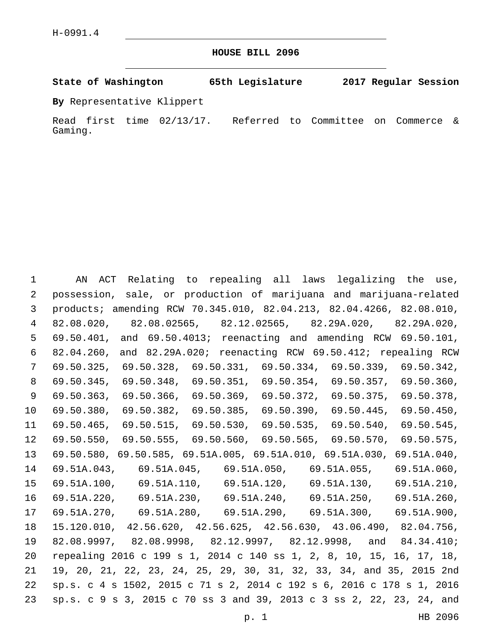**HOUSE BILL 2096**

**State of Washington 65th Legislature 2017 Regular Session**

**By** Representative Klippert

Read first time 02/13/17. Referred to Committee on Commerce & Gaming.

 AN ACT Relating to repealing all laws legalizing the use, possession, sale, or production of marijuana and marijuana-related products; amending RCW 70.345.010, 82.04.213, 82.04.4266, 82.08.010, 82.08.020, 82.08.02565, 82.12.02565, 82.29A.020, 82.29A.020, 69.50.401, and 69.50.4013; reenacting and amending RCW 69.50.101, 82.04.260, and 82.29A.020; reenacting RCW 69.50.412; repealing RCW 69.50.325, 69.50.328, 69.50.331, 69.50.334, 69.50.339, 69.50.342, 69.50.345, 69.50.348, 69.50.351, 69.50.354, 69.50.357, 69.50.360, 69.50.363, 69.50.366, 69.50.369, 69.50.372, 69.50.375, 69.50.378, 69.50.380, 69.50.382, 69.50.385, 69.50.390, 69.50.445, 69.50.450, 69.50.465, 69.50.515, 69.50.530, 69.50.535, 69.50.540, 69.50.545, 69.50.550, 69.50.555, 69.50.560, 69.50.565, 69.50.570, 69.50.575, 69.50.580, 69.50.585, 69.51A.005, 69.51A.010, 69.51A.030, 69.51A.040, 69.51A.043, 69.51A.045, 69.51A.050, 69.51A.055, 69.51A.060, 69.51A.100, 69.51A.110, 69.51A.120, 69.51A.130, 69.51A.210, 69.51A.220, 69.51A.230, 69.51A.240, 69.51A.250, 69.51A.260, 69.51A.270, 69.51A.280, 69.51A.290, 69.51A.300, 69.51A.900, 15.120.010, 42.56.620, 42.56.625, 42.56.630, 43.06.490, 82.04.756, 82.08.9997, 82.08.9998, 82.12.9997, 82.12.9998, and 84.34.410; repealing 2016 c 199 s 1, 2014 c 140 ss 1, 2, 8, 10, 15, 16, 17, 18, 19, 20, 21, 22, 23, 24, 25, 29, 30, 31, 32, 33, 34, and 35, 2015 2nd sp.s. c 4 s 1502, 2015 c 71 s 2, 2014 c 192 s 6, 2016 c 178 s 1, 2016 sp.s. c 9 s 3, 2015 c 70 ss 3 and 39, 2013 c 3 ss 2, 22, 23, 24, and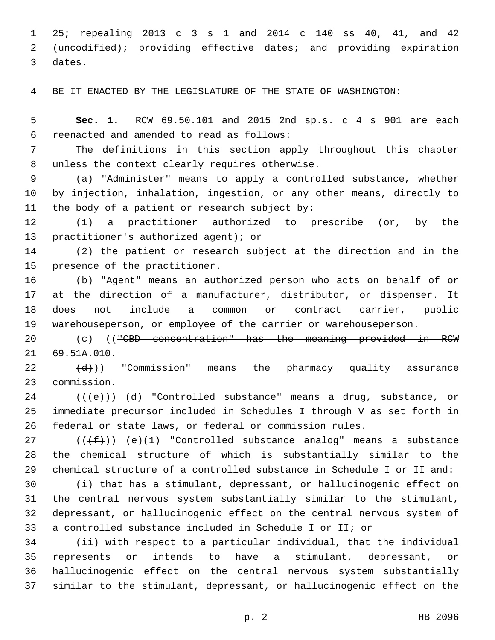25; repealing 2013 c 3 s 1 and 2014 c 140 ss 40, 41, and 42 (uncodified); providing effective dates; and providing expiration 3 dates.

BE IT ENACTED BY THE LEGISLATURE OF THE STATE OF WASHINGTON:

 **Sec. 1.** RCW 69.50.101 and 2015 2nd sp.s. c 4 s 901 are each reenacted and amended to read as follows:6

 The definitions in this section apply throughout this chapter 8 unless the context clearly requires otherwise.

 (a) "Administer" means to apply a controlled substance, whether by injection, inhalation, ingestion, or any other means, directly to 11 the body of a patient or research subject by:

 (1) a practitioner authorized to prescribe (or, by the 13 practitioner's authorized agent); or

 (2) the patient or research subject at the direction and in the 15 presence of the practitioner.

 (b) "Agent" means an authorized person who acts on behalf of or at the direction of a manufacturer, distributor, or dispenser. It does not include a common or contract carrier, public warehouseperson, or employee of the carrier or warehouseperson.

20 (c) (("CBD concentration" has the meaning provided in RCW 21 69.51A.010.

  $(d)$ )) "Commission" means the pharmacy quality assurance 23 commission.

 (( $\left( +e+ \right)$ ) (d) "Controlled substance" means a drug, substance, or immediate precursor included in Schedules I through V as set forth in federal or state laws, or federal or commission rules.

27 ( $(\overline{f})$ ) (e)(1) "Controlled substance analog" means a substance the chemical structure of which is substantially similar to the chemical structure of a controlled substance in Schedule I or II and:

 (i) that has a stimulant, depressant, or hallucinogenic effect on the central nervous system substantially similar to the stimulant, depressant, or hallucinogenic effect on the central nervous system of a controlled substance included in Schedule I or II; or

 (ii) with respect to a particular individual, that the individual represents or intends to have a stimulant, depressant, or hallucinogenic effect on the central nervous system substantially similar to the stimulant, depressant, or hallucinogenic effect on the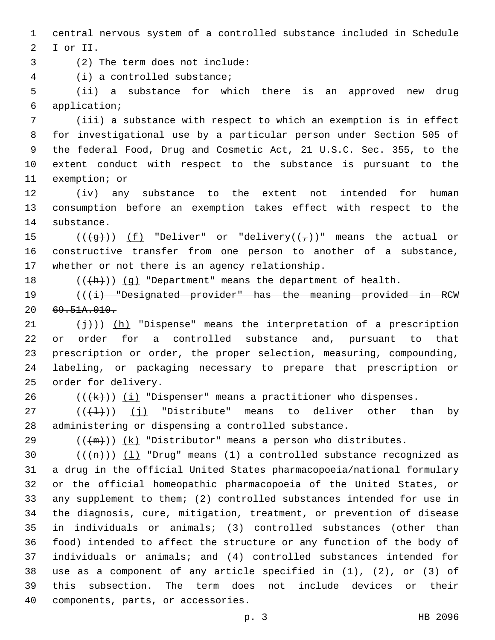1 central nervous system of a controlled substance included in Schedule 2 I or II.

(2) The term does not include:3

(i) a controlled substance;4

5 (ii) a substance for which there is an approved new drug application;6

 (iii) a substance with respect to which an exemption is in effect for investigational use by a particular person under Section 505 of the federal Food, Drug and Cosmetic Act, 21 U.S.C. Sec. 355, to the extent conduct with respect to the substance is pursuant to the 11 exemption; or

12 (iv) any substance to the extent not intended for human 13 consumption before an exemption takes effect with respect to the 14 substance.

15 ( $(\frac{49}{1})$ ) (f) "Deliver" or "delivery( $(\frac{1}{7})$ )" means the actual or 16 constructive transfer from one person to another of a substance, 17 whether or not there is an agency relationship.

18  $((+h))$   $(g)$  "Department" means the department of health.

19 (((i) "Designated provider" has the meaning provided in RCW  $20 \quad 69.51A.010.$ 

 $(\frac{1}{2})$ )) (h) "Dispense" means the interpretation of a prescription or order for a controlled substance and, pursuant to that prescription or order, the proper selection, measuring, compounding, labeling, or packaging necessary to prepare that prescription or 25 order for delivery.

26  $((+k))$   $(i)$  "Dispenser" means a practitioner who dispenses.

 $27$  (( $(\frac{1}{2})$ ) (j) "Distribute" means to deliver other than by 28 administering or dispensing a controlled substance.

29  $((+m))$  (k) "Distributor" means a person who distributes.

 $((+n))$   $(1)$  "Drug" means (1) a controlled substance recognized as a drug in the official United States pharmacopoeia/national formulary or the official homeopathic pharmacopoeia of the United States, or any supplement to them; (2) controlled substances intended for use in the diagnosis, cure, mitigation, treatment, or prevention of disease in individuals or animals; (3) controlled substances (other than food) intended to affect the structure or any function of the body of individuals or animals; and (4) controlled substances intended for use as a component of any article specified in (1), (2), or (3) of this subsection. The term does not include devices or their 40 components, parts, or accessories.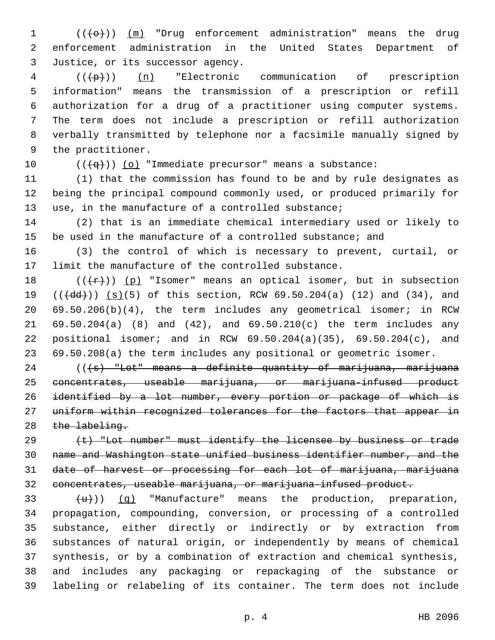1  $((+e+))$  ( $(m)$  "Drug enforcement administration" means the drug enforcement administration in the United States Department of 3 Justice, or its successor agency.

  $((+p))$   $(n)$  "Electronic communication of prescription information" means the transmission of a prescription or refill authorization for a drug of a practitioner using computer systems. The term does not include a prescription or refill authorization verbally transmitted by telephone nor a facsimile manually signed by 9 the practitioner.

10  $((+q))$  (o) "Immediate precursor" means a substance:

 (1) that the commission has found to be and by rule designates as being the principal compound commonly used, or produced primarily for use, in the manufacture of a controlled substance;

 (2) that is an immediate chemical intermediary used or likely to be used in the manufacture of a controlled substance; and

 (3) the control of which is necessary to prevent, curtail, or limit the manufacture of the controlled substance.

 $((+r))$  (p) "Isomer" means an optical isomer, but in subsection  $((\text{4dd})) (\text{s})(5)$  of this section, RCW 69.50.204(a) (12) and (34), and 69.50.206(b)(4), the term includes any geometrical isomer; in RCW 69.50.204(a) (8) and (42), and 69.50.210(c) the term includes any positional isomer; and in RCW 69.50.204(a)(35), 69.50.204(c), and 69.50.208(a) the term includes any positional or geometric isomer.

24 (((+s) "Lot" means a definite quantity of marijuana, marijuana 25 concentrates, useable marijuana, or marijuana-infused product 26 identified by a lot number, every portion or package of which is 27 uniform within recognized tolerances for the factors that appear in 28 the labeling.

 (t) "Lot number" must identify the licensee by business or trade name and Washington state unified business identifier number, and the date of harvest or processing for each lot of marijuana, marijuana concentrates, useable marijuana, or marijuana-infused product.

 $(u)$  (q) "Manufacture" means the production, preparation, propagation, compounding, conversion, or processing of a controlled substance, either directly or indirectly or by extraction from substances of natural origin, or independently by means of chemical synthesis, or by a combination of extraction and chemical synthesis, and includes any packaging or repackaging of the substance or labeling or relabeling of its container. The term does not include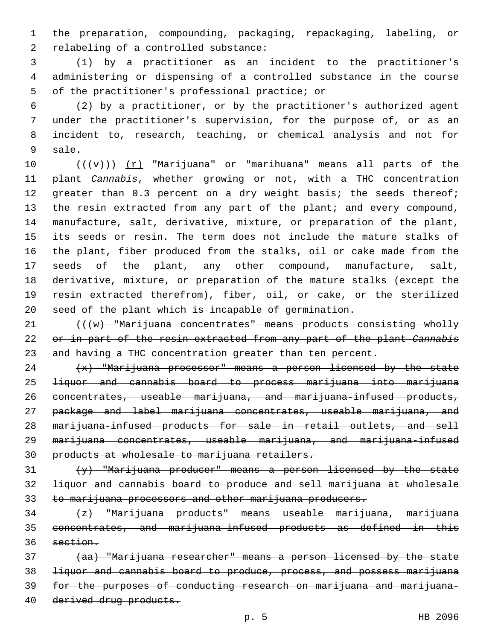the preparation, compounding, packaging, repackaging, labeling, or 2 relabeling of a controlled substance:

 (1) by a practitioner as an incident to the practitioner's administering or dispensing of a controlled substance in the course 5 of the practitioner's professional practice; or

 (2) by a practitioner, or by the practitioner's authorized agent under the practitioner's supervision, for the purpose of, or as an incident to, research, teaching, or chemical analysis and not for 9 sale.

 $((+\nu)^2)(r)$  "Marijuana" or "marihuana" means all parts of the plant *Cannabis*, whether growing or not, with a THC concentration 12 greater than 0.3 percent on a dry weight basis; the seeds thereof; 13 the resin extracted from any part of the plant; and every compound, manufacture, salt, derivative, mixture, or preparation of the plant, its seeds or resin. The term does not include the mature stalks of the plant, fiber produced from the stalks, oil or cake made from the seeds of the plant, any other compound, manufacture, salt, derivative, mixture, or preparation of the mature stalks (except the resin extracted therefrom), fiber, oil, or cake, or the sterilized seed of the plant which is incapable of germination.

21 (((w) "Marijuana concentrates" means products consisting wholly or in part of the resin extracted from any part of the plant *Cannabis* and having a THC concentration greater than ten percent.

  $\left\{\star\right\}$  "Marijuana processor" means a person licensed by the state liquor and cannabis board to process marijuana into marijuana 26 concentrates, useable marijuana, and marijuana-infused products, 27 package and label marijuana concentrates, useable marijuana, and marijuana-infused products for sale in retail outlets, and sell 29 marijuana concentrates, useable marijuana, and marijuana-infused products at wholesale to marijuana retailers.

 $\{y\}$  "Marijuana producer" means a person licensed by the state liquor and cannabis board to produce and sell marijuana at wholesale 33 to marijuana processors and other marijuana producers.

 (z) "Marijuana products" means useable marijuana, marijuana concentrates, and marijuana-infused products as defined in this 36 section.

 (aa) "Marijuana researcher" means a person licensed by the state liquor and cannabis board to produce, process, and possess marijuana for the purposes of conducting research on marijuana and marijuana-derived drug products.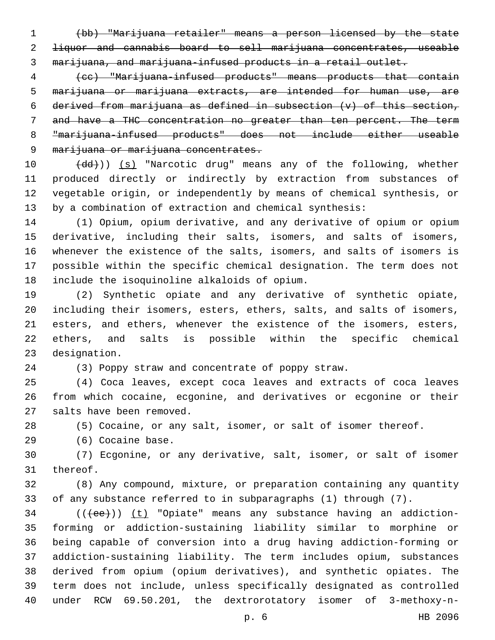(bb) "Marijuana retailer" means a person licensed by the state liquor and cannabis board to sell marijuana concentrates, useable marijuana, and marijuana-infused products in a retail outlet.

 (cc) "Marijuana-infused products" means products that contain marijuana or marijuana extracts, are intended for human use, are 6 derived from marijuana as defined in subsection  $(v)$  of this section, and have a THC concentration no greater than ten percent. The term "marijuana-infused products" does not include either useable 9 marijuana or marijuana concentrates.

10 (dd))) (s) "Narcotic drug" means any of the following, whether produced directly or indirectly by extraction from substances of vegetable origin, or independently by means of chemical synthesis, or by a combination of extraction and chemical synthesis:

 (1) Opium, opium derivative, and any derivative of opium or opium derivative, including their salts, isomers, and salts of isomers, whenever the existence of the salts, isomers, and salts of isomers is possible within the specific chemical designation. The term does not 18 include the isoquinoline alkaloids of opium.

 (2) Synthetic opiate and any derivative of synthetic opiate, including their isomers, esters, ethers, salts, and salts of isomers, esters, and ethers, whenever the existence of the isomers, esters, ethers, and salts is possible within the specific chemical 23 designation.

(3) Poppy straw and concentrate of poppy straw.

 (4) Coca leaves, except coca leaves and extracts of coca leaves from which cocaine, ecgonine, and derivatives or ecgonine or their 27 salts have been removed.

(5) Cocaine, or any salt, isomer, or salt of isomer thereof.

29 (6) Cocaine base.

 (7) Ecgonine, or any derivative, salt, isomer, or salt of isomer 31 thereof.

 (8) Any compound, mixture, or preparation containing any quantity of any substance referred to in subparagraphs (1) through (7).

34 (((ee))) (t) "Opiate" means any substance having an addiction- forming or addiction-sustaining liability similar to morphine or being capable of conversion into a drug having addiction-forming or addiction-sustaining liability. The term includes opium, substances derived from opium (opium derivatives), and synthetic opiates. The term does not include, unless specifically designated as controlled under RCW 69.50.201, the dextrorotatory isomer of 3-methoxy-n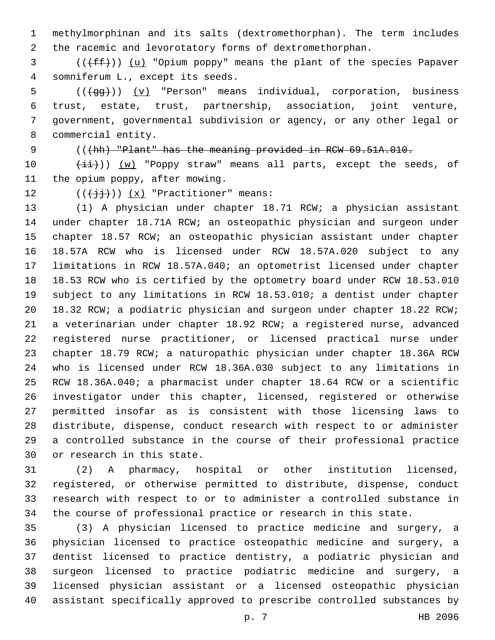methylmorphinan and its salts (dextromethorphan). The term includes the racemic and levorotatory forms of dextromethorphan.

3 (((ff)) (u) "Opium poppy" means the plant of the species Papaver somniferum L., except its seeds.4

5 (((+gg))) (v) "Person" means individual, corporation, business trust, estate, trust, partnership, association, joint venture, government, governmental subdivision or agency, or any other legal or 8 commercial entity.

## (((hh) "Plant" has the meaning provided in RCW 69.51A.010.

 $(iii)$ ) (w) "Poppy straw" means all parts, except the seeds, of 11 the opium poppy, after mowing.

12  $((\overrightarrow{jj})) (x)$  "Practitioner" means:

 (1) A physician under chapter 18.71 RCW; a physician assistant under chapter 18.71A RCW; an osteopathic physician and surgeon under chapter 18.57 RCW; an osteopathic physician assistant under chapter 18.57A RCW who is licensed under RCW 18.57A.020 subject to any limitations in RCW 18.57A.040; an optometrist licensed under chapter 18.53 RCW who is certified by the optometry board under RCW 18.53.010 subject to any limitations in RCW 18.53.010; a dentist under chapter 18.32 RCW; a podiatric physician and surgeon under chapter 18.22 RCW; a veterinarian under chapter 18.92 RCW; a registered nurse, advanced registered nurse practitioner, or licensed practical nurse under chapter 18.79 RCW; a naturopathic physician under chapter 18.36A RCW who is licensed under RCW 18.36A.030 subject to any limitations in RCW 18.36A.040; a pharmacist under chapter 18.64 RCW or a scientific investigator under this chapter, licensed, registered or otherwise permitted insofar as is consistent with those licensing laws to distribute, dispense, conduct research with respect to or administer a controlled substance in the course of their professional practice 30 or research in this state.

 (2) A pharmacy, hospital or other institution licensed, registered, or otherwise permitted to distribute, dispense, conduct research with respect to or to administer a controlled substance in the course of professional practice or research in this state.

 (3) A physician licensed to practice medicine and surgery, a physician licensed to practice osteopathic medicine and surgery, a dentist licensed to practice dentistry, a podiatric physician and surgeon licensed to practice podiatric medicine and surgery, a licensed physician assistant or a licensed osteopathic physician assistant specifically approved to prescribe controlled substances by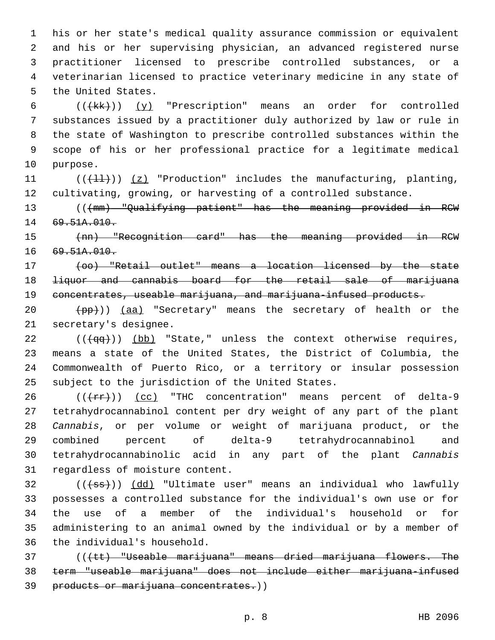his or her state's medical quality assurance commission or equivalent and his or her supervising physician, an advanced registered nurse practitioner licensed to prescribe controlled substances, or a veterinarian licensed to practice veterinary medicine in any state of 5 the United States.

 $((+kk+))$   $(y)$  "Prescription" means an order for controlled substances issued by a practitioner duly authorized by law or rule in the state of Washington to prescribe controlled substances within the scope of his or her professional practice for a legitimate medical 10 purpose.

11  $((+11))$   $(z)$  "Production" includes the manufacturing, planting, 12 cultivating, growing, or harvesting of a controlled substance.

13 (((mm) "Qualifying patient" has the meaning provided in RCW 14 69.51A.010.

15 (nn) "Recognition card" has the meaning provided in RCW 16 69.51A.010.

17 (oo) "Retail outlet" means a location licensed by the state 18 <del>liquor and cannabis board for the retail sale of marijuana</del> 19 concentrates, useable marijuana, and marijuana-infused products.

20 (pp)) (aa) "Secretary" means the secretary of health or the 21 secretary's designee.

 ( $(\overline{qq})$ ) (bb) "State," unless the context otherwise requires, means a state of the United States, the District of Columbia, the Commonwealth of Puerto Rico, or a territory or insular possession 25 subject to the jurisdiction of the United States.

 (( $\text{+rr+}$ )) (cc) "THC concentration" means percent of delta-9 tetrahydrocannabinol content per dry weight of any part of the plant *Cannabis*, or per volume or weight of marijuana product, or the combined percent of delta-9 tetrahydrocannabinol and tetrahydrocannabinolic acid in any part of the plant *Cannabis* 31 regardless of moisture content.

32 (((+ss))) (dd) "Ultimate user" means an individual who lawfully 33 possesses a controlled substance for the individual's own use or for 34 the use of a member of the individual's household or for 35 administering to an animal owned by the individual or by a member of 36 the individual's household.

37 (((tt) "Useable marijuana" means dried marijuana flowers. The 38 term "useable marijuana" does not include either marijuana-infused 39 products or marijuana concentrates.))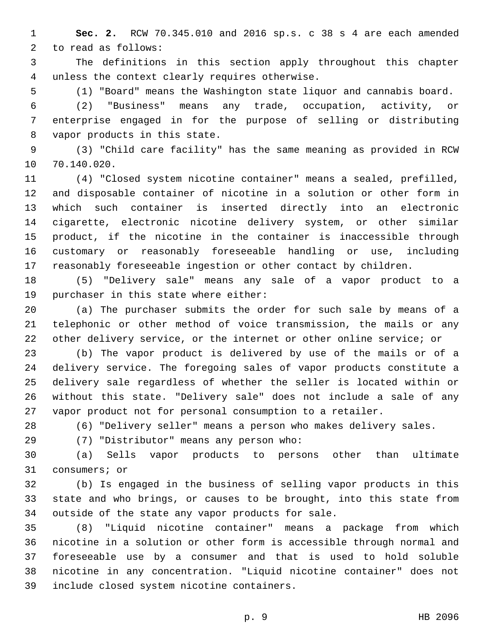**Sec. 2.** RCW 70.345.010 and 2016 sp.s. c 38 s 4 are each amended 2 to read as follows:

 The definitions in this section apply throughout this chapter unless the context clearly requires otherwise.4

(1) "Board" means the Washington state liquor and cannabis board.

 (2) "Business" means any trade, occupation, activity, or enterprise engaged in for the purpose of selling or distributing 8 vapor products in this state.

 (3) "Child care facility" has the same meaning as provided in RCW 10 70.140.020.

 (4) "Closed system nicotine container" means a sealed, prefilled, and disposable container of nicotine in a solution or other form in which such container is inserted directly into an electronic cigarette, electronic nicotine delivery system, or other similar product, if the nicotine in the container is inaccessible through customary or reasonably foreseeable handling or use, including reasonably foreseeable ingestion or other contact by children.

 (5) "Delivery sale" means any sale of a vapor product to a 19 purchaser in this state where either:

 (a) The purchaser submits the order for such sale by means of a telephonic or other method of voice transmission, the mails or any other delivery service, or the internet or other online service; or

 (b) The vapor product is delivered by use of the mails or of a delivery service. The foregoing sales of vapor products constitute a delivery sale regardless of whether the seller is located within or without this state. "Delivery sale" does not include a sale of any vapor product not for personal consumption to a retailer.

(6) "Delivery seller" means a person who makes delivery sales.

(7) "Distributor" means any person who:29

 (a) Sells vapor products to persons other than ultimate 31 consumers; or

 (b) Is engaged in the business of selling vapor products in this state and who brings, or causes to be brought, into this state from 34 outside of the state any vapor products for sale.

 (8) "Liquid nicotine container" means a package from which nicotine in a solution or other form is accessible through normal and foreseeable use by a consumer and that is used to hold soluble nicotine in any concentration. "Liquid nicotine container" does not 39 include closed system nicotine containers.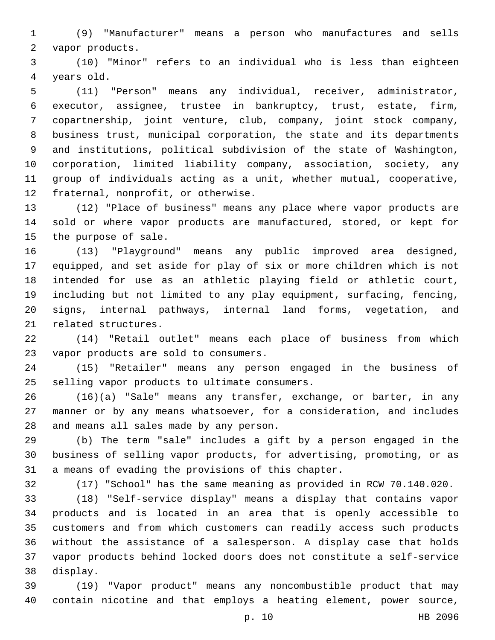(9) "Manufacturer" means a person who manufactures and sells 2 vapor products.

 (10) "Minor" refers to an individual who is less than eighteen 4 years old.

 (11) "Person" means any individual, receiver, administrator, executor, assignee, trustee in bankruptcy, trust, estate, firm, copartnership, joint venture, club, company, joint stock company, business trust, municipal corporation, the state and its departments and institutions, political subdivision of the state of Washington, corporation, limited liability company, association, society, any group of individuals acting as a unit, whether mutual, cooperative, 12 fraternal, nonprofit, or otherwise.

 (12) "Place of business" means any place where vapor products are sold or where vapor products are manufactured, stored, or kept for 15 the purpose of sale.

 (13) "Playground" means any public improved area designed, equipped, and set aside for play of six or more children which is not intended for use as an athletic playing field or athletic court, including but not limited to any play equipment, surfacing, fencing, signs, internal pathways, internal land forms, vegetation, and 21 related structures.

 (14) "Retail outlet" means each place of business from which 23 vapor products are sold to consumers.

 (15) "Retailer" means any person engaged in the business of 25 selling vapor products to ultimate consumers.

 (16)(a) "Sale" means any transfer, exchange, or barter, in any manner or by any means whatsoever, for a consideration, and includes 28 and means all sales made by any person.

 (b) The term "sale" includes a gift by a person engaged in the business of selling vapor products, for advertising, promoting, or as a means of evading the provisions of this chapter.

(17) "School" has the same meaning as provided in RCW 70.140.020.

 (18) "Self-service display" means a display that contains vapor products and is located in an area that is openly accessible to customers and from which customers can readily access such products without the assistance of a salesperson. A display case that holds vapor products behind locked doors does not constitute a self-service 38 display.

 (19) "Vapor product" means any noncombustible product that may contain nicotine and that employs a heating element, power source,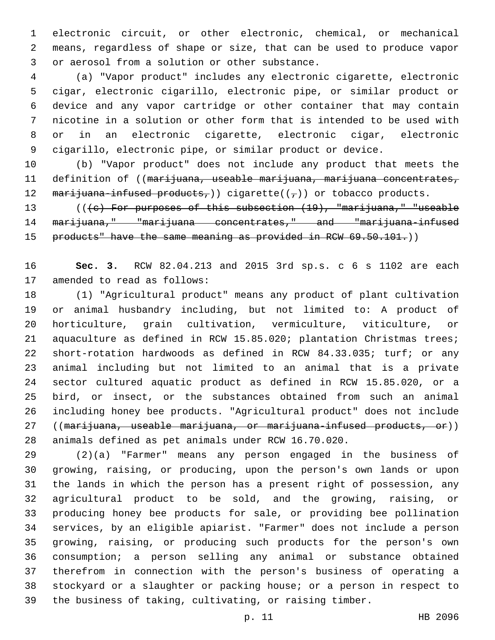electronic circuit, or other electronic, chemical, or mechanical means, regardless of shape or size, that can be used to produce vapor 3 or aerosol from a solution or other substance.

 (a) "Vapor product" includes any electronic cigarette, electronic cigar, electronic cigarillo, electronic pipe, or similar product or device and any vapor cartridge or other container that may contain nicotine in a solution or other form that is intended to be used with or in an electronic cigarette, electronic cigar, electronic cigarillo, electronic pipe, or similar product or device.

 (b) "Vapor product" does not include any product that meets the 11 definition of ((marijuana, useable marijuana, marijuana concentrates, 12 marijuana-infused products,)) cigarette( $(\tau)$ ) or tobacco products.

13 (((c) For purposes of this subsection (19), "marijuana," "useable 14 marijuana," "marijuana concentrates," and "marijuana-infused 15 products" have the same meaning as provided in RCW 69.50.101.)

 **Sec. 3.** RCW 82.04.213 and 2015 3rd sp.s. c 6 s 1102 are each 17 amended to read as follows:

 (1) "Agricultural product" means any product of plant cultivation or animal husbandry including, but not limited to: A product of horticulture, grain cultivation, vermiculture, viticulture, or aquaculture as defined in RCW 15.85.020; plantation Christmas trees; short-rotation hardwoods as defined in RCW 84.33.035; turf; or any animal including but not limited to an animal that is a private sector cultured aquatic product as defined in RCW 15.85.020, or a bird, or insect, or the substances obtained from such an animal including honey bee products. "Agricultural product" does not include 27 ((marijuana, useable marijuana, or marijuana-infused products, or)) animals defined as pet animals under RCW 16.70.020.

 (2)(a) "Farmer" means any person engaged in the business of growing, raising, or producing, upon the person's own lands or upon the lands in which the person has a present right of possession, any agricultural product to be sold, and the growing, raising, or producing honey bee products for sale, or providing bee pollination services, by an eligible apiarist. "Farmer" does not include a person growing, raising, or producing such products for the person's own consumption; a person selling any animal or substance obtained therefrom in connection with the person's business of operating a stockyard or a slaughter or packing house; or a person in respect to the business of taking, cultivating, or raising timber.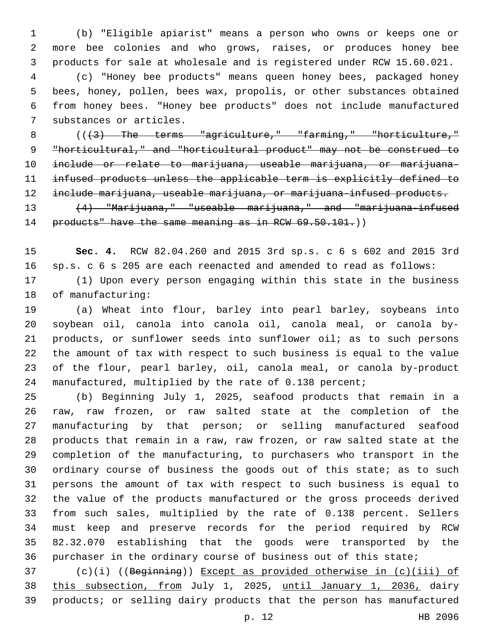(b) "Eligible apiarist" means a person who owns or keeps one or more bee colonies and who grows, raises, or produces honey bee products for sale at wholesale and is registered under RCW 15.60.021. (c) "Honey bee products" means queen honey bees, packaged honey bees, honey, pollen, bees wax, propolis, or other substances obtained from honey bees. "Honey bee products" does not include manufactured

7 substances or articles.

 $((+3)$  The terms "agriculture," "farming," "horticulture," "horticultural," and "horticultural product" may not be construed to include or relate to marijuana, useable marijuana, or marijuana- infused products unless the applicable term is explicitly defined to include marijuana, useable marijuana, or marijuana-infused products.

13 (4) "Marijuana," "useable marijuana," and "marijuana-infused 14 products" have the same meaning as in RCW 69.50.101.))

 **Sec. 4.** RCW 82.04.260 and 2015 3rd sp.s. c 6 s 602 and 2015 3rd sp.s. c 6 s 205 are each reenacted and amended to read as follows:

 (1) Upon every person engaging within this state in the business 18 of manufacturing:

 (a) Wheat into flour, barley into pearl barley, soybeans into soybean oil, canola into canola oil, canola meal, or canola by- products, or sunflower seeds into sunflower oil; as to such persons the amount of tax with respect to such business is equal to the value of the flour, pearl barley, oil, canola meal, or canola by-product manufactured, multiplied by the rate of 0.138 percent;

 (b) Beginning July 1, 2025, seafood products that remain in a raw, raw frozen, or raw salted state at the completion of the manufacturing by that person; or selling manufactured seafood products that remain in a raw, raw frozen, or raw salted state at the completion of the manufacturing, to purchasers who transport in the ordinary course of business the goods out of this state; as to such persons the amount of tax with respect to such business is equal to the value of the products manufactured or the gross proceeds derived from such sales, multiplied by the rate of 0.138 percent. Sellers must keep and preserve records for the period required by RCW 82.32.070 establishing that the goods were transported by the purchaser in the ordinary course of business out of this state;

 (c)(i) ((Beginning)) Except as provided otherwise in (c)(iii) of this subsection, from July 1, 2025, until January 1, 2036, dairy products; or selling dairy products that the person has manufactured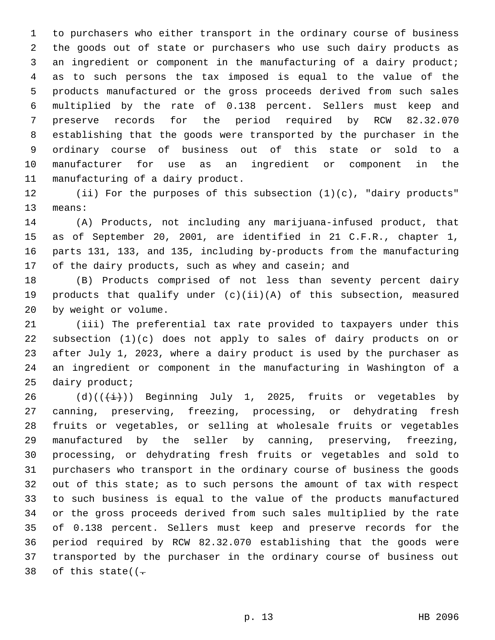to purchasers who either transport in the ordinary course of business the goods out of state or purchasers who use such dairy products as an ingredient or component in the manufacturing of a dairy product; as to such persons the tax imposed is equal to the value of the products manufactured or the gross proceeds derived from such sales multiplied by the rate of 0.138 percent. Sellers must keep and preserve records for the period required by RCW 82.32.070 establishing that the goods were transported by the purchaser in the ordinary course of business out of this state or sold to a manufacturer for use as an ingredient or component in the 11 manufacturing of a dairy product.

 (ii) For the purposes of this subsection (1)(c), "dairy products" 13 means:

 (A) Products, not including any marijuana-infused product, that as of September 20, 2001, are identified in 21 C.F.R., chapter 1, parts 131, 133, and 135, including by-products from the manufacturing 17 of the dairy products, such as whey and casein; and

 (B) Products comprised of not less than seventy percent dairy products that qualify under (c)(ii)(A) of this subsection, measured 20 by weight or volume.

 (iii) The preferential tax rate provided to taxpayers under this subsection (1)(c) does not apply to sales of dairy products on or after July 1, 2023, where a dairy product is used by the purchaser as an ingredient or component in the manufacturing in Washington of a 25 dairy product;

26 (d)( $(\frac{1}{1})$ ) Beginning July 1, 2025, fruits or vegetables by canning, preserving, freezing, processing, or dehydrating fresh fruits or vegetables, or selling at wholesale fruits or vegetables manufactured by the seller by canning, preserving, freezing, processing, or dehydrating fresh fruits or vegetables and sold to purchasers who transport in the ordinary course of business the goods out of this state; as to such persons the amount of tax with respect to such business is equal to the value of the products manufactured or the gross proceeds derived from such sales multiplied by the rate of 0.138 percent. Sellers must keep and preserve records for the period required by RCW 82.32.070 establishing that the goods were transported by the purchaser in the ordinary course of business out 38 of this state( $(-$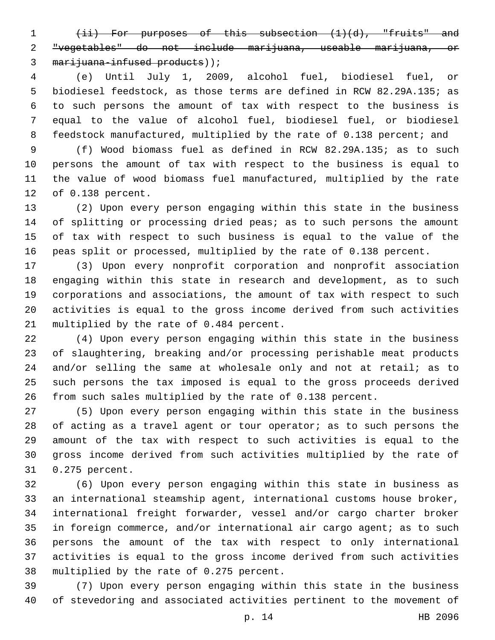(ii) For purposes of this subsection (1)(d), "fruits" and "vegetables" do not include marijuana, useable marijuana, or 3 marijuana-infused products));

 (e) Until July 1, 2009, alcohol fuel, biodiesel fuel, or biodiesel feedstock, as those terms are defined in RCW 82.29A.135; as to such persons the amount of tax with respect to the business is equal to the value of alcohol fuel, biodiesel fuel, or biodiesel 8 feedstock manufactured, multiplied by the rate of 0.138 percent; and

 (f) Wood biomass fuel as defined in RCW 82.29A.135; as to such persons the amount of tax with respect to the business is equal to the value of wood biomass fuel manufactured, multiplied by the rate 12 of 0.138 percent.

 (2) Upon every person engaging within this state in the business of splitting or processing dried peas; as to such persons the amount of tax with respect to such business is equal to the value of the peas split or processed, multiplied by the rate of 0.138 percent.

 (3) Upon every nonprofit corporation and nonprofit association engaging within this state in research and development, as to such corporations and associations, the amount of tax with respect to such activities is equal to the gross income derived from such activities 21 multiplied by the rate of 0.484 percent.

 (4) Upon every person engaging within this state in the business of slaughtering, breaking and/or processing perishable meat products and/or selling the same at wholesale only and not at retail; as to such persons the tax imposed is equal to the gross proceeds derived from such sales multiplied by the rate of 0.138 percent.

 (5) Upon every person engaging within this state in the business of acting as a travel agent or tour operator; as to such persons the amount of the tax with respect to such activities is equal to the gross income derived from such activities multiplied by the rate of 0.275 percent.31

 (6) Upon every person engaging within this state in business as an international steamship agent, international customs house broker, international freight forwarder, vessel and/or cargo charter broker in foreign commerce, and/or international air cargo agent; as to such persons the amount of the tax with respect to only international activities is equal to the gross income derived from such activities 38 multiplied by the rate of 0.275 percent.

 (7) Upon every person engaging within this state in the business of stevedoring and associated activities pertinent to the movement of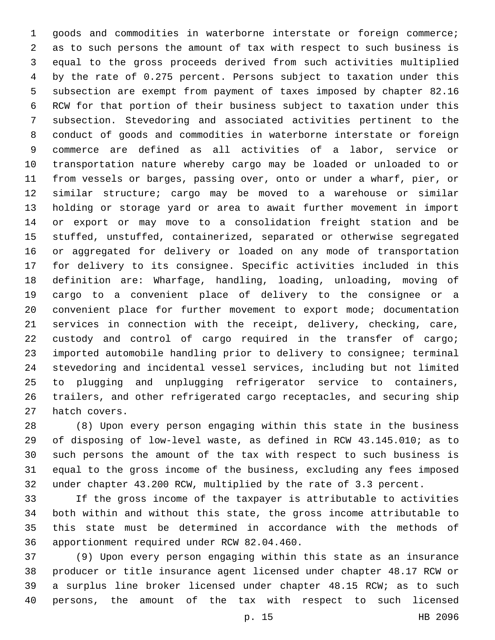goods and commodities in waterborne interstate or foreign commerce; as to such persons the amount of tax with respect to such business is equal to the gross proceeds derived from such activities multiplied by the rate of 0.275 percent. Persons subject to taxation under this subsection are exempt from payment of taxes imposed by chapter 82.16 RCW for that portion of their business subject to taxation under this subsection. Stevedoring and associated activities pertinent to the conduct of goods and commodities in waterborne interstate or foreign commerce are defined as all activities of a labor, service or transportation nature whereby cargo may be loaded or unloaded to or from vessels or barges, passing over, onto or under a wharf, pier, or similar structure; cargo may be moved to a warehouse or similar holding or storage yard or area to await further movement in import or export or may move to a consolidation freight station and be stuffed, unstuffed, containerized, separated or otherwise segregated or aggregated for delivery or loaded on any mode of transportation for delivery to its consignee. Specific activities included in this definition are: Wharfage, handling, loading, unloading, moving of cargo to a convenient place of delivery to the consignee or a convenient place for further movement to export mode; documentation services in connection with the receipt, delivery, checking, care, custody and control of cargo required in the transfer of cargo; imported automobile handling prior to delivery to consignee; terminal stevedoring and incidental vessel services, including but not limited to plugging and unplugging refrigerator service to containers, trailers, and other refrigerated cargo receptacles, and securing ship 27 hatch covers.

 (8) Upon every person engaging within this state in the business of disposing of low-level waste, as defined in RCW 43.145.010; as to such persons the amount of the tax with respect to such business is equal to the gross income of the business, excluding any fees imposed under chapter 43.200 RCW, multiplied by the rate of 3.3 percent.

 If the gross income of the taxpayer is attributable to activities both within and without this state, the gross income attributable to this state must be determined in accordance with the methods of 36 apportionment required under RCW 82.04.460.

 (9) Upon every person engaging within this state as an insurance producer or title insurance agent licensed under chapter 48.17 RCW or a surplus line broker licensed under chapter 48.15 RCW; as to such persons, the amount of the tax with respect to such licensed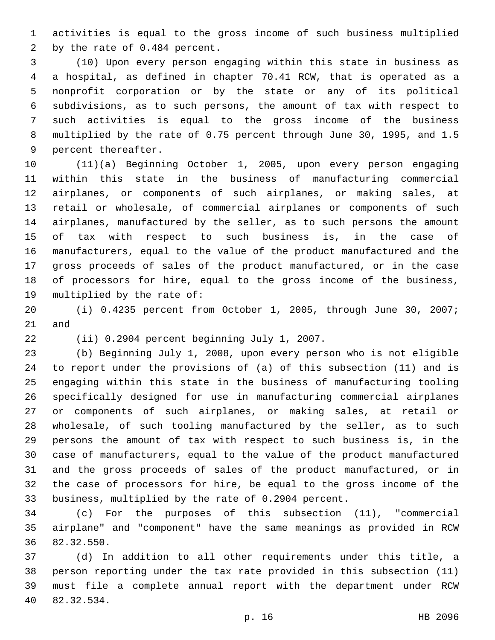activities is equal to the gross income of such business multiplied 2 by the rate of 0.484 percent.

 (10) Upon every person engaging within this state in business as a hospital, as defined in chapter 70.41 RCW, that is operated as a nonprofit corporation or by the state or any of its political subdivisions, as to such persons, the amount of tax with respect to such activities is equal to the gross income of the business multiplied by the rate of 0.75 percent through June 30, 1995, and 1.5 9 percent thereafter.

 (11)(a) Beginning October 1, 2005, upon every person engaging within this state in the business of manufacturing commercial airplanes, or components of such airplanes, or making sales, at retail or wholesale, of commercial airplanes or components of such airplanes, manufactured by the seller, as to such persons the amount of tax with respect to such business is, in the case of manufacturers, equal to the value of the product manufactured and the gross proceeds of sales of the product manufactured, or in the case of processors for hire, equal to the gross income of the business, 19 multiplied by the rate of:

 (i) 0.4235 percent from October 1, 2005, through June 30, 2007; and

22 (ii) 0.2904 percent beginning July 1, 2007.

 (b) Beginning July 1, 2008, upon every person who is not eligible to report under the provisions of (a) of this subsection (11) and is engaging within this state in the business of manufacturing tooling specifically designed for use in manufacturing commercial airplanes or components of such airplanes, or making sales, at retail or wholesale, of such tooling manufactured by the seller, as to such persons the amount of tax with respect to such business is, in the case of manufacturers, equal to the value of the product manufactured and the gross proceeds of sales of the product manufactured, or in the case of processors for hire, be equal to the gross income of the business, multiplied by the rate of 0.2904 percent.

 (c) For the purposes of this subsection (11), "commercial airplane" and "component" have the same meanings as provided in RCW 82.32.550.36

 (d) In addition to all other requirements under this title, a person reporting under the tax rate provided in this subsection (11) must file a complete annual report with the department under RCW 82.32.534.40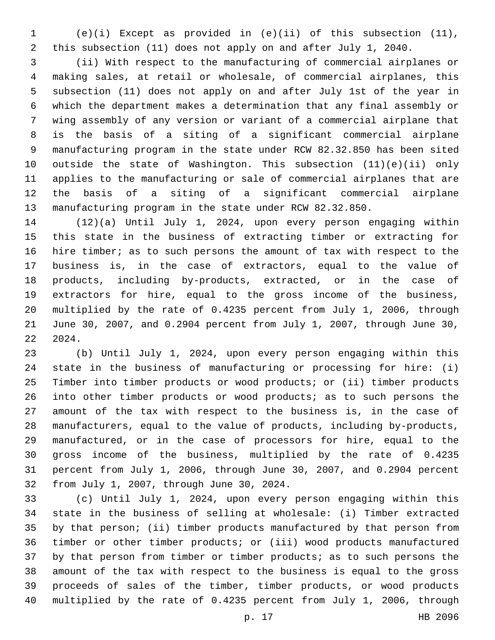(e)(i) Except as provided in (e)(ii) of this subsection (11), this subsection (11) does not apply on and after July 1, 2040.

 (ii) With respect to the manufacturing of commercial airplanes or making sales, at retail or wholesale, of commercial airplanes, this subsection (11) does not apply on and after July 1st of the year in which the department makes a determination that any final assembly or wing assembly of any version or variant of a commercial airplane that is the basis of a siting of a significant commercial airplane manufacturing program in the state under RCW 82.32.850 has been sited outside the state of Washington. This subsection (11)(e)(ii) only applies to the manufacturing or sale of commercial airplanes that are the basis of a siting of a significant commercial airplane manufacturing program in the state under RCW 82.32.850.

 (12)(a) Until July 1, 2024, upon every person engaging within this state in the business of extracting timber or extracting for hire timber; as to such persons the amount of tax with respect to the business is, in the case of extractors, equal to the value of products, including by-products, extracted, or in the case of extractors for hire, equal to the gross income of the business, multiplied by the rate of 0.4235 percent from July 1, 2006, through June 30, 2007, and 0.2904 percent from July 1, 2007, through June 30, 2024.

 (b) Until July 1, 2024, upon every person engaging within this state in the business of manufacturing or processing for hire: (i) Timber into timber products or wood products; or (ii) timber products into other timber products or wood products; as to such persons the amount of the tax with respect to the business is, in the case of manufacturers, equal to the value of products, including by-products, manufactured, or in the case of processors for hire, equal to the gross income of the business, multiplied by the rate of 0.4235 percent from July 1, 2006, through June 30, 2007, and 0.2904 percent 32 from July 1, 2007, through June 30, 2024.

 (c) Until July 1, 2024, upon every person engaging within this state in the business of selling at wholesale: (i) Timber extracted by that person; (ii) timber products manufactured by that person from timber or other timber products; or (iii) wood products manufactured by that person from timber or timber products; as to such persons the amount of the tax with respect to the business is equal to the gross proceeds of sales of the timber, timber products, or wood products multiplied by the rate of 0.4235 percent from July 1, 2006, through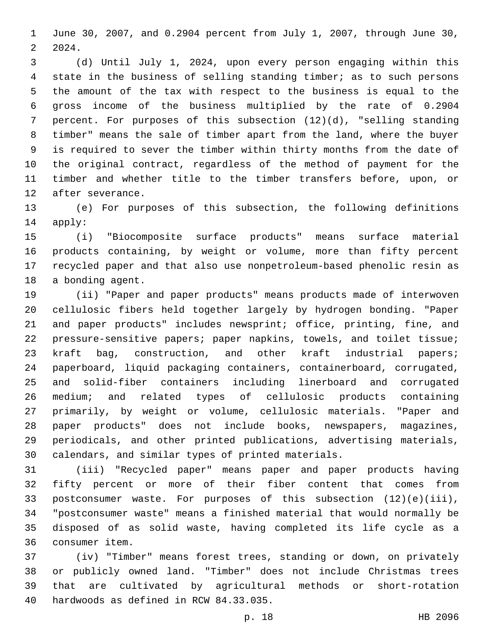June 30, 2007, and 0.2904 percent from July 1, 2007, through June 30, 2024.

 (d) Until July 1, 2024, upon every person engaging within this state in the business of selling standing timber; as to such persons the amount of the tax with respect to the business is equal to the gross income of the business multiplied by the rate of 0.2904 percent. For purposes of this subsection (12)(d), "selling standing timber" means the sale of timber apart from the land, where the buyer is required to sever the timber within thirty months from the date of the original contract, regardless of the method of payment for the timber and whether title to the timber transfers before, upon, or 12 after severance.

 (e) For purposes of this subsection, the following definitions 14 apply:

 (i) "Biocomposite surface products" means surface material products containing, by weight or volume, more than fifty percent recycled paper and that also use nonpetroleum-based phenolic resin as 18 a bonding agent.

 (ii) "Paper and paper products" means products made of interwoven cellulosic fibers held together largely by hydrogen bonding. "Paper and paper products" includes newsprint; office, printing, fine, and pressure-sensitive papers; paper napkins, towels, and toilet tissue; kraft bag, construction, and other kraft industrial papers; paperboard, liquid packaging containers, containerboard, corrugated, and solid-fiber containers including linerboard and corrugated medium; and related types of cellulosic products containing primarily, by weight or volume, cellulosic materials. "Paper and paper products" does not include books, newspapers, magazines, periodicals, and other printed publications, advertising materials, calendars, and similar types of printed materials.

 (iii) "Recycled paper" means paper and paper products having fifty percent or more of their fiber content that comes from postconsumer waste. For purposes of this subsection (12)(e)(iii), "postconsumer waste" means a finished material that would normally be disposed of as solid waste, having completed its life cycle as a consumer item.36

 (iv) "Timber" means forest trees, standing or down, on privately or publicly owned land. "Timber" does not include Christmas trees that are cultivated by agricultural methods or short-rotation 40 hardwoods as defined in RCW 84.33.035.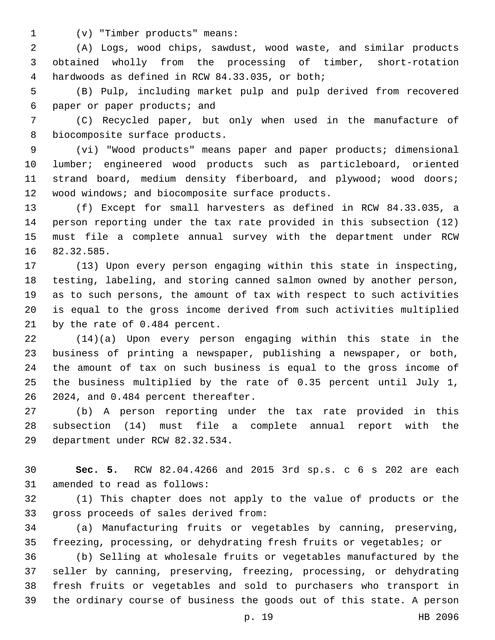(v) "Timber products" means:1

 (A) Logs, wood chips, sawdust, wood waste, and similar products obtained wholly from the processing of timber, short-rotation 4 hardwoods as defined in RCW 84.33.035, or both;

 (B) Pulp, including market pulp and pulp derived from recovered 6 paper or paper products; and

 (C) Recycled paper, but only when used in the manufacture of 8 biocomposite surface products.

 (vi) "Wood products" means paper and paper products; dimensional lumber; engineered wood products such as particleboard, oriented 11 strand board, medium density fiberboard, and plywood; wood doors; 12 wood windows; and biocomposite surface products.

 (f) Except for small harvesters as defined in RCW 84.33.035, a person reporting under the tax rate provided in this subsection (12) must file a complete annual survey with the department under RCW 16 82.32.585.

 (13) Upon every person engaging within this state in inspecting, testing, labeling, and storing canned salmon owned by another person, as to such persons, the amount of tax with respect to such activities is equal to the gross income derived from such activities multiplied 21 by the rate of 0.484 percent.

 (14)(a) Upon every person engaging within this state in the business of printing a newspaper, publishing a newspaper, or both, the amount of tax on such business is equal to the gross income of the business multiplied by the rate of 0.35 percent until July 1, 26 2024, and 0.484 percent thereafter.

 (b) A person reporting under the tax rate provided in this subsection (14) must file a complete annual report with the 29 department under RCW 82.32.534.

 **Sec. 5.** RCW 82.04.4266 and 2015 3rd sp.s. c 6 s 202 are each 31 amended to read as follows:

 (1) This chapter does not apply to the value of products or the 33 gross proceeds of sales derived from:

 (a) Manufacturing fruits or vegetables by canning, preserving, freezing, processing, or dehydrating fresh fruits or vegetables; or

 (b) Selling at wholesale fruits or vegetables manufactured by the seller by canning, preserving, freezing, processing, or dehydrating fresh fruits or vegetables and sold to purchasers who transport in the ordinary course of business the goods out of this state. A person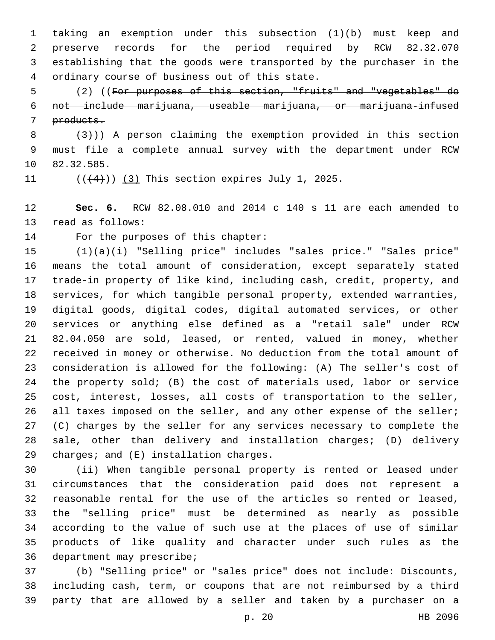taking an exemption under this subsection (1)(b) must keep and preserve records for the period required by RCW 82.32.070 establishing that the goods were transported by the purchaser in the ordinary course of business out of this state.4

 (2) ((For purposes of this section, "fruits" and "vegetables" do not include marijuana, useable marijuana, or marijuana-infused products.

  $(3+)$ ) A person claiming the exemption provided in this section must file a complete annual survey with the department under RCW 10 82.32.585.

11  $((+4))$  (3) This section expires July 1, 2025.

 **Sec. 6.** RCW 82.08.010 and 2014 c 140 s 11 are each amended to 13 read as follows:

14 For the purposes of this chapter:

 (1)(a)(i) "Selling price" includes "sales price." "Sales price" means the total amount of consideration, except separately stated trade-in property of like kind, including cash, credit, property, and services, for which tangible personal property, extended warranties, digital goods, digital codes, digital automated services, or other services or anything else defined as a "retail sale" under RCW 82.04.050 are sold, leased, or rented, valued in money, whether received in money or otherwise. No deduction from the total amount of consideration is allowed for the following: (A) The seller's cost of the property sold; (B) the cost of materials used, labor or service cost, interest, losses, all costs of transportation to the seller, 26 all taxes imposed on the seller, and any other expense of the seller; (C) charges by the seller for any services necessary to complete the sale, other than delivery and installation charges; (D) delivery 29 charges; and  $(E)$  installation charges.

 (ii) When tangible personal property is rented or leased under circumstances that the consideration paid does not represent a reasonable rental for the use of the articles so rented or leased, the "selling price" must be determined as nearly as possible according to the value of such use at the places of use of similar products of like quality and character under such rules as the 36 department may prescribe;

 (b) "Selling price" or "sales price" does not include: Discounts, including cash, term, or coupons that are not reimbursed by a third party that are allowed by a seller and taken by a purchaser on a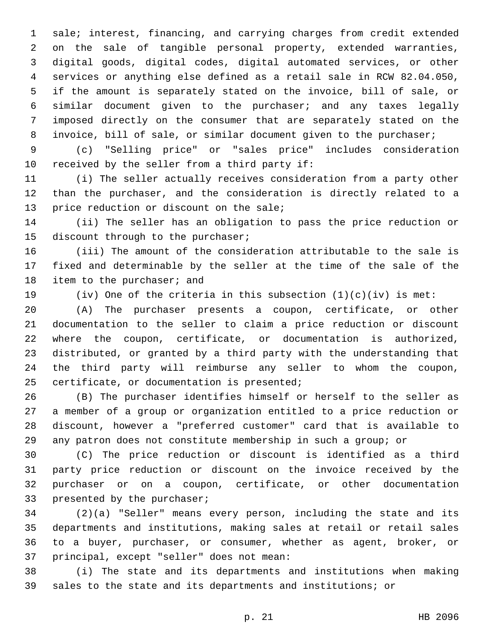sale; interest, financing, and carrying charges from credit extended on the sale of tangible personal property, extended warranties, digital goods, digital codes, digital automated services, or other services or anything else defined as a retail sale in RCW 82.04.050, if the amount is separately stated on the invoice, bill of sale, or similar document given to the purchaser; and any taxes legally imposed directly on the consumer that are separately stated on the invoice, bill of sale, or similar document given to the purchaser;

 (c) "Selling price" or "sales price" includes consideration 10 received by the seller from a third party if:

 (i) The seller actually receives consideration from a party other than the purchaser, and the consideration is directly related to a 13 price reduction or discount on the sale;

 (ii) The seller has an obligation to pass the price reduction or 15 discount through to the purchaser;

 (iii) The amount of the consideration attributable to the sale is fixed and determinable by the seller at the time of the sale of the 18 item to the purchaser; and

19 (iv) One of the criteria in this subsection  $(1)(c)(iv)$  is met:

 (A) The purchaser presents a coupon, certificate, or other documentation to the seller to claim a price reduction or discount where the coupon, certificate, or documentation is authorized, distributed, or granted by a third party with the understanding that the third party will reimburse any seller to whom the coupon, 25 certificate, or documentation is presented;

 (B) The purchaser identifies himself or herself to the seller as a member of a group or organization entitled to a price reduction or discount, however a "preferred customer" card that is available to any patron does not constitute membership in such a group; or

 (C) The price reduction or discount is identified as a third party price reduction or discount on the invoice received by the purchaser or on a coupon, certificate, or other documentation 33 presented by the purchaser;

 (2)(a) "Seller" means every person, including the state and its departments and institutions, making sales at retail or retail sales to a buyer, purchaser, or consumer, whether as agent, broker, or 37 principal, except "seller" does not mean:

 (i) The state and its departments and institutions when making sales to the state and its departments and institutions; or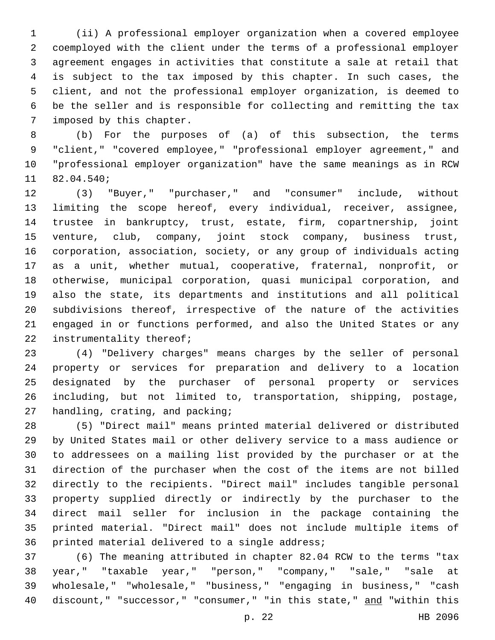(ii) A professional employer organization when a covered employee coemployed with the client under the terms of a professional employer agreement engages in activities that constitute a sale at retail that is subject to the tax imposed by this chapter. In such cases, the client, and not the professional employer organization, is deemed to be the seller and is responsible for collecting and remitting the tax 7 imposed by this chapter.

 (b) For the purposes of (a) of this subsection, the terms "client," "covered employee," "professional employer agreement," and "professional employer organization" have the same meanings as in RCW 11 82.04.540;

 (3) "Buyer," "purchaser," and "consumer" include, without limiting the scope hereof, every individual, receiver, assignee, trustee in bankruptcy, trust, estate, firm, copartnership, joint venture, club, company, joint stock company, business trust, corporation, association, society, or any group of individuals acting as a unit, whether mutual, cooperative, fraternal, nonprofit, or otherwise, municipal corporation, quasi municipal corporation, and also the state, its departments and institutions and all political subdivisions thereof, irrespective of the nature of the activities engaged in or functions performed, and also the United States or any 22 instrumentality thereof;

 (4) "Delivery charges" means charges by the seller of personal property or services for preparation and delivery to a location designated by the purchaser of personal property or services including, but not limited to, transportation, shipping, postage, 27 handling, crating, and packing;

 (5) "Direct mail" means printed material delivered or distributed by United States mail or other delivery service to a mass audience or to addressees on a mailing list provided by the purchaser or at the direction of the purchaser when the cost of the items are not billed directly to the recipients. "Direct mail" includes tangible personal property supplied directly or indirectly by the purchaser to the direct mail seller for inclusion in the package containing the printed material. "Direct mail" does not include multiple items of 36 printed material delivered to a single address;

 (6) The meaning attributed in chapter 82.04 RCW to the terms "tax year," "taxable year," "person," "company," "sale," "sale at wholesale," "wholesale," "business," "engaging in business," "cash 40 discount," "successor," "consumer," "in this state," and "within this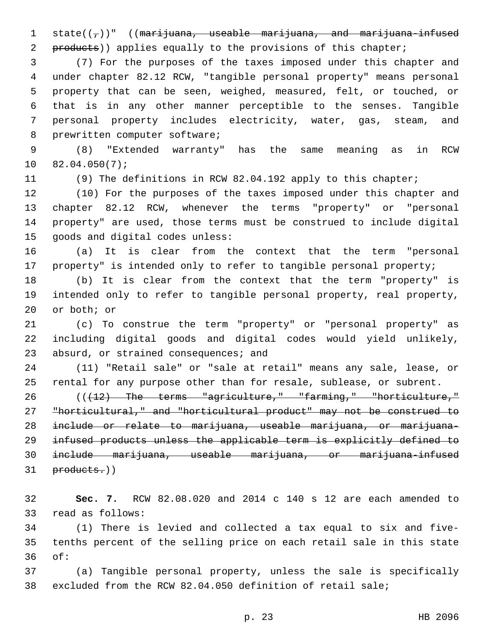1 state( $(\tau)$ )" ((marijuana, useable marijuana, and marijuana-infused products)) applies equally to the provisions of this chapter;

 (7) For the purposes of the taxes imposed under this chapter and under chapter 82.12 RCW, "tangible personal property" means personal property that can be seen, weighed, measured, felt, or touched, or that is in any other manner perceptible to the senses. Tangible personal property includes electricity, water, gas, steam, and 8 prewritten computer software;

 (8) "Extended warranty" has the same meaning as in RCW  $10 82.04.050(7);$ 

(9) The definitions in RCW 82.04.192 apply to this chapter;

 (10) For the purposes of the taxes imposed under this chapter and chapter 82.12 RCW, whenever the terms "property" or "personal property" are used, those terms must be construed to include digital 15 goods and digital codes unless:

 (a) It is clear from the context that the term "personal property" is intended only to refer to tangible personal property;

 (b) It is clear from the context that the term "property" is intended only to refer to tangible personal property, real property, 20 or both; or

 (c) To construe the term "property" or "personal property" as including digital goods and digital codes would yield unlikely, 23 absurd, or strained consequences; and

 (11) "Retail sale" or "sale at retail" means any sale, lease, or rental for any purpose other than for resale, sublease, or subrent.

26 ((+12) The terms "agriculture," "farming," "horticulture," "horticultural," and "horticultural product" may not be construed to include or relate to marijuana, useable marijuana, or marijuana- infused products unless the applicable term is explicitly defined to include marijuana, useable marijuana, or marijuana-infused products.))

 **Sec. 7.** RCW 82.08.020 and 2014 c 140 s 12 are each amended to 33 read as follows:

 (1) There is levied and collected a tax equal to six and five- tenths percent of the selling price on each retail sale in this state of:36

 (a) Tangible personal property, unless the sale is specifically excluded from the RCW 82.04.050 definition of retail sale;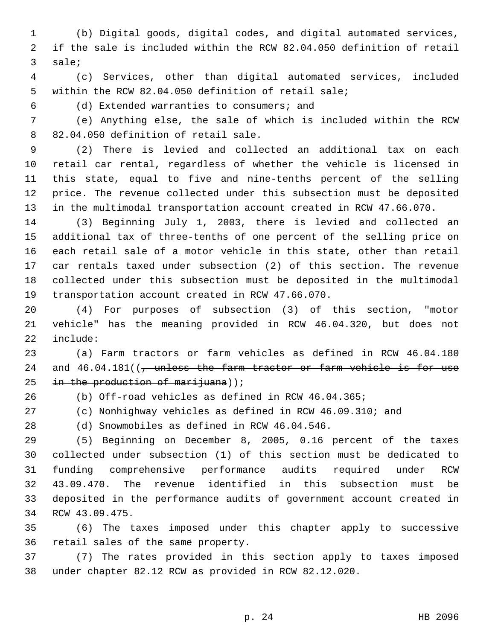(b) Digital goods, digital codes, and digital automated services, if the sale is included within the RCW 82.04.050 definition of retail 3 sale;

 (c) Services, other than digital automated services, included within the RCW 82.04.050 definition of retail sale;

(d) Extended warranties to consumers; and6

 (e) Anything else, the sale of which is included within the RCW 8 82.04.050 definition of retail sale.

 (2) There is levied and collected an additional tax on each retail car rental, regardless of whether the vehicle is licensed in this state, equal to five and nine-tenths percent of the selling price. The revenue collected under this subsection must be deposited in the multimodal transportation account created in RCW 47.66.070.

 (3) Beginning July 1, 2003, there is levied and collected an additional tax of three-tenths of one percent of the selling price on each retail sale of a motor vehicle in this state, other than retail car rentals taxed under subsection (2) of this section. The revenue collected under this subsection must be deposited in the multimodal 19 transportation account created in RCW 47.66.070.

 (4) For purposes of subsection (3) of this section, "motor vehicle" has the meaning provided in RCW 46.04.320, but does not 22 include:

 (a) Farm tractors or farm vehicles as defined in RCW 46.04.180 24 and 46.04.181((, unless the farm tractor or farm vehicle is for use 25 in the production of marijuana));

(b) Off-road vehicles as defined in RCW 46.04.365;

(c) Nonhighway vehicles as defined in RCW 46.09.310; and

28 (d) Snowmobiles as defined in RCW 46.04.546.

 (5) Beginning on December 8, 2005, 0.16 percent of the taxes collected under subsection (1) of this section must be dedicated to funding comprehensive performance audits required under RCW 43.09.470. The revenue identified in this subsection must be deposited in the performance audits of government account created in 34 RCW 43.09.475.

 (6) The taxes imposed under this chapter apply to successive 36 retail sales of the same property.

 (7) The rates provided in this section apply to taxes imposed under chapter 82.12 RCW as provided in RCW 82.12.020.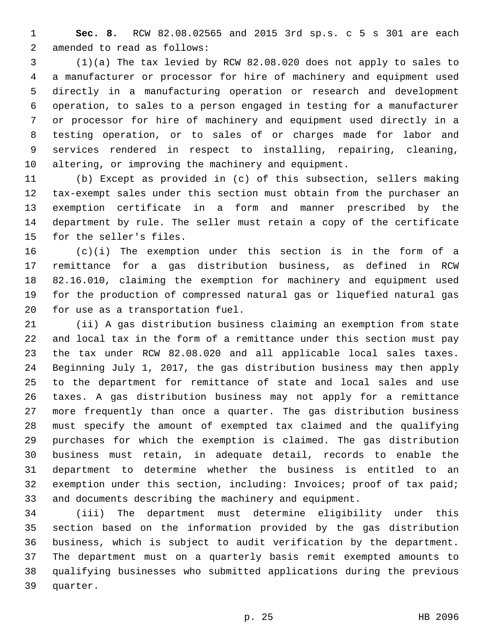**Sec. 8.** RCW 82.08.02565 and 2015 3rd sp.s. c 5 s 301 are each 2 amended to read as follows:

 (1)(a) The tax levied by RCW 82.08.020 does not apply to sales to a manufacturer or processor for hire of machinery and equipment used directly in a manufacturing operation or research and development operation, to sales to a person engaged in testing for a manufacturer or processor for hire of machinery and equipment used directly in a testing operation, or to sales of or charges made for labor and services rendered in respect to installing, repairing, cleaning, altering, or improving the machinery and equipment.

 (b) Except as provided in (c) of this subsection, sellers making tax-exempt sales under this section must obtain from the purchaser an exemption certificate in a form and manner prescribed by the department by rule. The seller must retain a copy of the certificate 15 for the seller's files.

 (c)(i) The exemption under this section is in the form of a remittance for a gas distribution business, as defined in RCW 82.16.010, claiming the exemption for machinery and equipment used for the production of compressed natural gas or liquefied natural gas 20 for use as a transportation fuel.

 (ii) A gas distribution business claiming an exemption from state and local tax in the form of a remittance under this section must pay the tax under RCW 82.08.020 and all applicable local sales taxes. Beginning July 1, 2017, the gas distribution business may then apply to the department for remittance of state and local sales and use taxes. A gas distribution business may not apply for a remittance more frequently than once a quarter. The gas distribution business must specify the amount of exempted tax claimed and the qualifying purchases for which the exemption is claimed. The gas distribution business must retain, in adequate detail, records to enable the department to determine whether the business is entitled to an exemption under this section, including: Invoices; proof of tax paid; and documents describing the machinery and equipment.

 (iii) The department must determine eligibility under this section based on the information provided by the gas distribution business, which is subject to audit verification by the department. The department must on a quarterly basis remit exempted amounts to qualifying businesses who submitted applications during the previous 39 quarter.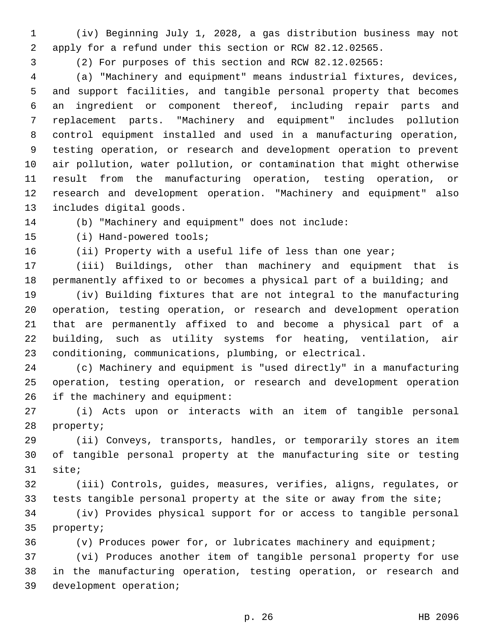(iv) Beginning July 1, 2028, a gas distribution business may not apply for a refund under this section or RCW 82.12.02565.

(2) For purposes of this section and RCW 82.12.02565:

 (a) "Machinery and equipment" means industrial fixtures, devices, and support facilities, and tangible personal property that becomes an ingredient or component thereof, including repair parts and replacement parts. "Machinery and equipment" includes pollution control equipment installed and used in a manufacturing operation, testing operation, or research and development operation to prevent air pollution, water pollution, or contamination that might otherwise result from the manufacturing operation, testing operation, or research and development operation. "Machinery and equipment" also 13 includes digital goods.

(b) "Machinery and equipment" does not include:

15 (i) Hand-powered tools;

16 (ii) Property with a useful life of less than one year;

 (iii) Buildings, other than machinery and equipment that is permanently affixed to or becomes a physical part of a building; and

 (iv) Building fixtures that are not integral to the manufacturing operation, testing operation, or research and development operation that are permanently affixed to and become a physical part of a building, such as utility systems for heating, ventilation, air conditioning, communications, plumbing, or electrical.

 (c) Machinery and equipment is "used directly" in a manufacturing operation, testing operation, or research and development operation 26 if the machinery and equipment:

 (i) Acts upon or interacts with an item of tangible personal 28 property;

 (ii) Conveys, transports, handles, or temporarily stores an item of tangible personal property at the manufacturing site or testing 31 site;

 (iii) Controls, guides, measures, verifies, aligns, regulates, or tests tangible personal property at the site or away from the site;

 (iv) Provides physical support for or access to tangible personal 35 property;

(v) Produces power for, or lubricates machinery and equipment;

 (vi) Produces another item of tangible personal property for use in the manufacturing operation, testing operation, or research and 39 development operation;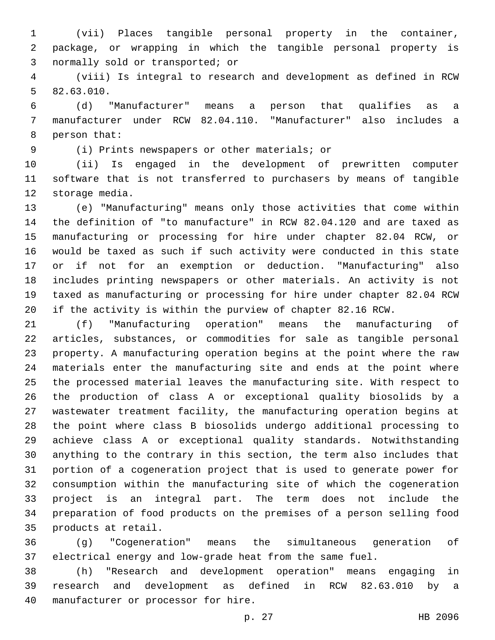(vii) Places tangible personal property in the container, package, or wrapping in which the tangible personal property is 3 normally sold or transported; or

 (viii) Is integral to research and development as defined in RCW 5 82.63.010.

 (d) "Manufacturer" means a person that qualifies as a manufacturer under RCW 82.04.110. "Manufacturer" also includes a 8 person that:

(i) Prints newspapers or other materials; or9

 (ii) Is engaged in the development of prewritten computer software that is not transferred to purchasers by means of tangible 12 storage media.

 (e) "Manufacturing" means only those activities that come within the definition of "to manufacture" in RCW 82.04.120 and are taxed as manufacturing or processing for hire under chapter 82.04 RCW, or would be taxed as such if such activity were conducted in this state or if not for an exemption or deduction. "Manufacturing" also includes printing newspapers or other materials. An activity is not taxed as manufacturing or processing for hire under chapter 82.04 RCW if the activity is within the purview of chapter 82.16 RCW.

 (f) "Manufacturing operation" means the manufacturing of articles, substances, or commodities for sale as tangible personal property. A manufacturing operation begins at the point where the raw materials enter the manufacturing site and ends at the point where the processed material leaves the manufacturing site. With respect to the production of class A or exceptional quality biosolids by a wastewater treatment facility, the manufacturing operation begins at the point where class B biosolids undergo additional processing to achieve class A or exceptional quality standards. Notwithstanding anything to the contrary in this section, the term also includes that portion of a cogeneration project that is used to generate power for consumption within the manufacturing site of which the cogeneration project is an integral part. The term does not include the preparation of food products on the premises of a person selling food 35 products at retail.

 (g) "Cogeneration" means the simultaneous generation of electrical energy and low-grade heat from the same fuel.

 (h) "Research and development operation" means engaging in research and development as defined in RCW 82.63.010 by a 40 manufacturer or processor for hire.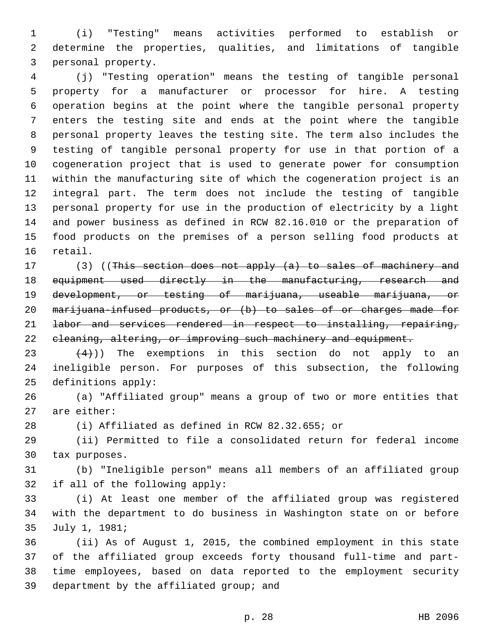(i) "Testing" means activities performed to establish or determine the properties, qualities, and limitations of tangible 3 personal property.

 (j) "Testing operation" means the testing of tangible personal property for a manufacturer or processor for hire. A testing operation begins at the point where the tangible personal property enters the testing site and ends at the point where the tangible personal property leaves the testing site. The term also includes the testing of tangible personal property for use in that portion of a cogeneration project that is used to generate power for consumption within the manufacturing site of which the cogeneration project is an integral part. The term does not include the testing of tangible personal property for use in the production of electricity by a light and power business as defined in RCW 82.16.010 or the preparation of food products on the premises of a person selling food products at 16 retail.

17 (3) ((This section does not apply (a) to sales of machinery and equipment used directly in the manufacturing, research and development, or testing of marijuana, useable marijuana, or 20 marijuana-infused products, or (b) to sales of or charges made for labor and services rendered in respect to installing, repairing, 22 eleaning, altering, or improving such machinery and equipment.

23  $(4)$ )) The exemptions in this section do not apply to an ineligible person. For purposes of this subsection, the following 25 definitions apply:

 (a) "Affiliated group" means a group of two or more entities that 27 are either:

(i) Affiliated as defined in RCW 82.32.655; or

 (ii) Permitted to file a consolidated return for federal income 30 tax purposes.

 (b) "Ineligible person" means all members of an affiliated group 32 if all of the following apply:

 (i) At least one member of the affiliated group was registered with the department to do business in Washington state on or before 35 July 1, 1981;

 (ii) As of August 1, 2015, the combined employment in this state of the affiliated group exceeds forty thousand full-time and part- time employees, based on data reported to the employment security 39 department by the affiliated group; and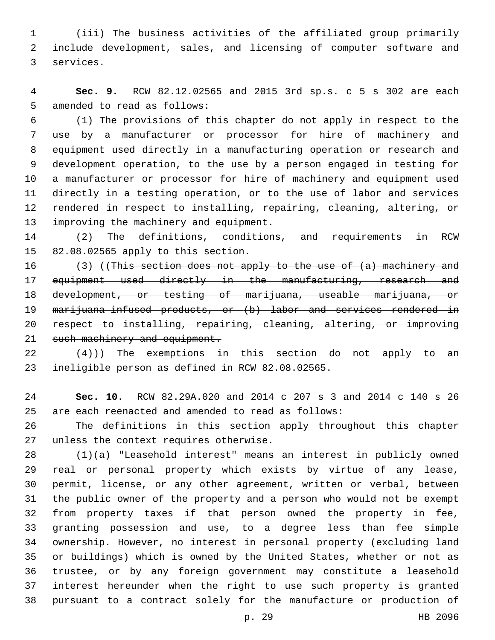(iii) The business activities of the affiliated group primarily include development, sales, and licensing of computer software and 3 services.

 **Sec. 9.** RCW 82.12.02565 and 2015 3rd sp.s. c 5 s 302 are each 5 amended to read as follows:

 (1) The provisions of this chapter do not apply in respect to the use by a manufacturer or processor for hire of machinery and equipment used directly in a manufacturing operation or research and development operation, to the use by a person engaged in testing for a manufacturer or processor for hire of machinery and equipment used directly in a testing operation, or to the use of labor and services rendered in respect to installing, repairing, cleaning, altering, or 13 improving the machinery and equipment.

 (2) The definitions, conditions, and requirements in RCW 15 82.08.02565 apply to this section.

 (3) ((This section does not apply to the use of (a) machinery and equipment used directly in the manufacturing, research and 18 development, or testing of marijuana, useable marijuana, or 19 marijuana-infused products, or (b) labor and services rendered in respect to installing, repairing, cleaning, altering, or improving 21 such machinery and equipment.

 $(4)$ )) The exemptions in this section do not apply to an 23 ineligible person as defined in RCW 82.08.02565.

 **Sec. 10.** RCW 82.29A.020 and 2014 c 207 s 3 and 2014 c 140 s 26 are each reenacted and amended to read as follows:

 The definitions in this section apply throughout this chapter 27 unless the context requires otherwise.

 (1)(a) "Leasehold interest" means an interest in publicly owned real or personal property which exists by virtue of any lease, permit, license, or any other agreement, written or verbal, between the public owner of the property and a person who would not be exempt from property taxes if that person owned the property in fee, granting possession and use, to a degree less than fee simple ownership. However, no interest in personal property (excluding land or buildings) which is owned by the United States, whether or not as trustee, or by any foreign government may constitute a leasehold interest hereunder when the right to use such property is granted pursuant to a contract solely for the manufacture or production of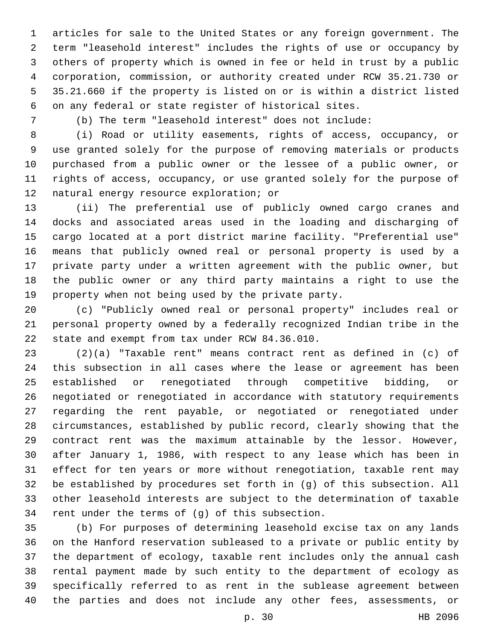articles for sale to the United States or any foreign government. The term "leasehold interest" includes the rights of use or occupancy by others of property which is owned in fee or held in trust by a public corporation, commission, or authority created under RCW 35.21.730 or 35.21.660 if the property is listed on or is within a district listed on any federal or state register of historical sites.

(b) The term "leasehold interest" does not include:

 (i) Road or utility easements, rights of access, occupancy, or use granted solely for the purpose of removing materials or products purchased from a public owner or the lessee of a public owner, or rights of access, occupancy, or use granted solely for the purpose of 12 natural energy resource exploration; or

 (ii) The preferential use of publicly owned cargo cranes and docks and associated areas used in the loading and discharging of cargo located at a port district marine facility. "Preferential use" means that publicly owned real or personal property is used by a private party under a written agreement with the public owner, but the public owner or any third party maintains a right to use the property when not being used by the private party.

 (c) "Publicly owned real or personal property" includes real or personal property owned by a federally recognized Indian tribe in the 22 state and exempt from tax under RCW 84.36.010.

 (2)(a) "Taxable rent" means contract rent as defined in (c) of this subsection in all cases where the lease or agreement has been established or renegotiated through competitive bidding, or negotiated or renegotiated in accordance with statutory requirements regarding the rent payable, or negotiated or renegotiated under circumstances, established by public record, clearly showing that the contract rent was the maximum attainable by the lessor. However, after January 1, 1986, with respect to any lease which has been in effect for ten years or more without renegotiation, taxable rent may be established by procedures set forth in (g) of this subsection. All other leasehold interests are subject to the determination of taxable 34 rent under the terms of  $(g)$  of this subsection.

 (b) For purposes of determining leasehold excise tax on any lands on the Hanford reservation subleased to a private or public entity by the department of ecology, taxable rent includes only the annual cash rental payment made by such entity to the department of ecology as specifically referred to as rent in the sublease agreement between the parties and does not include any other fees, assessments, or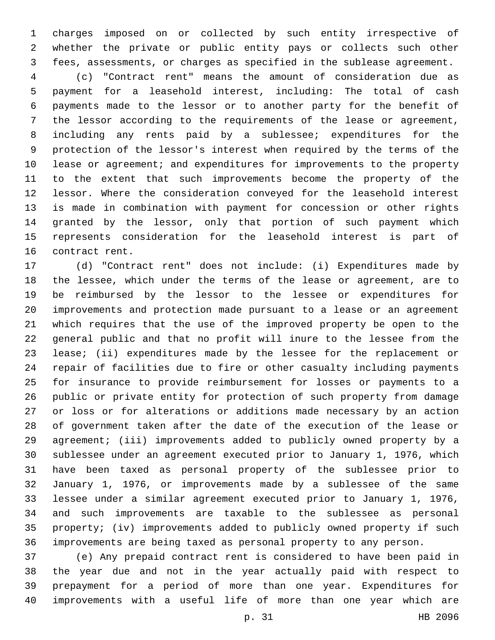charges imposed on or collected by such entity irrespective of whether the private or public entity pays or collects such other fees, assessments, or charges as specified in the sublease agreement.

 (c) "Contract rent" means the amount of consideration due as payment for a leasehold interest, including: The total of cash payments made to the lessor or to another party for the benefit of the lessor according to the requirements of the lease or agreement, including any rents paid by a sublessee; expenditures for the protection of the lessor's interest when required by the terms of the lease or agreement; and expenditures for improvements to the property to the extent that such improvements become the property of the lessor. Where the consideration conveyed for the leasehold interest is made in combination with payment for concession or other rights granted by the lessor, only that portion of such payment which represents consideration for the leasehold interest is part of 16 contract rent.

 (d) "Contract rent" does not include: (i) Expenditures made by the lessee, which under the terms of the lease or agreement, are to be reimbursed by the lessor to the lessee or expenditures for improvements and protection made pursuant to a lease or an agreement which requires that the use of the improved property be open to the general public and that no profit will inure to the lessee from the lease; (ii) expenditures made by the lessee for the replacement or repair of facilities due to fire or other casualty including payments for insurance to provide reimbursement for losses or payments to a public or private entity for protection of such property from damage or loss or for alterations or additions made necessary by an action of government taken after the date of the execution of the lease or agreement; (iii) improvements added to publicly owned property by a sublessee under an agreement executed prior to January 1, 1976, which have been taxed as personal property of the sublessee prior to January 1, 1976, or improvements made by a sublessee of the same lessee under a similar agreement executed prior to January 1, 1976, and such improvements are taxable to the sublessee as personal property; (iv) improvements added to publicly owned property if such improvements are being taxed as personal property to any person.

 (e) Any prepaid contract rent is considered to have been paid in the year due and not in the year actually paid with respect to prepayment for a period of more than one year. Expenditures for improvements with a useful life of more than one year which are

p. 31 HB 2096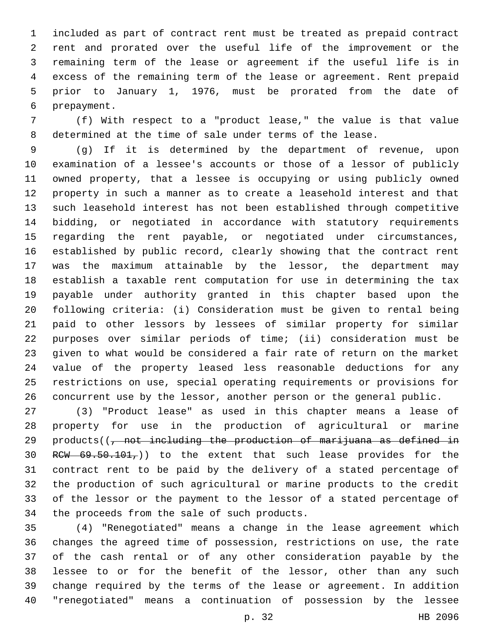included as part of contract rent must be treated as prepaid contract rent and prorated over the useful life of the improvement or the remaining term of the lease or agreement if the useful life is in excess of the remaining term of the lease or agreement. Rent prepaid prior to January 1, 1976, must be prorated from the date of 6 prepayment.

 (f) With respect to a "product lease," the value is that value determined at the time of sale under terms of the lease.

 (g) If it is determined by the department of revenue, upon examination of a lessee's accounts or those of a lessor of publicly owned property, that a lessee is occupying or using publicly owned property in such a manner as to create a leasehold interest and that such leasehold interest has not been established through competitive bidding, or negotiated in accordance with statutory requirements regarding the rent payable, or negotiated under circumstances, established by public record, clearly showing that the contract rent was the maximum attainable by the lessor, the department may establish a taxable rent computation for use in determining the tax payable under authority granted in this chapter based upon the following criteria: (i) Consideration must be given to rental being paid to other lessors by lessees of similar property for similar purposes over similar periods of time; (ii) consideration must be given to what would be considered a fair rate of return on the market value of the property leased less reasonable deductions for any restrictions on use, special operating requirements or provisions for concurrent use by the lessor, another person or the general public.

 (3) "Product lease" as used in this chapter means a lease of property for use in the production of agricultural or marine 29 products( $\left(\frac{1}{f}\right)$  not including the production of marijuana as defined in 30 RCW  $69.50.101$ ,  $)$  to the extent that such lease provides for the contract rent to be paid by the delivery of a stated percentage of the production of such agricultural or marine products to the credit of the lessor or the payment to the lessor of a stated percentage of 34 the proceeds from the sale of such products.

 (4) "Renegotiated" means a change in the lease agreement which changes the agreed time of possession, restrictions on use, the rate of the cash rental or of any other consideration payable by the lessee to or for the benefit of the lessor, other than any such change required by the terms of the lease or agreement. In addition "renegotiated" means a continuation of possession by the lessee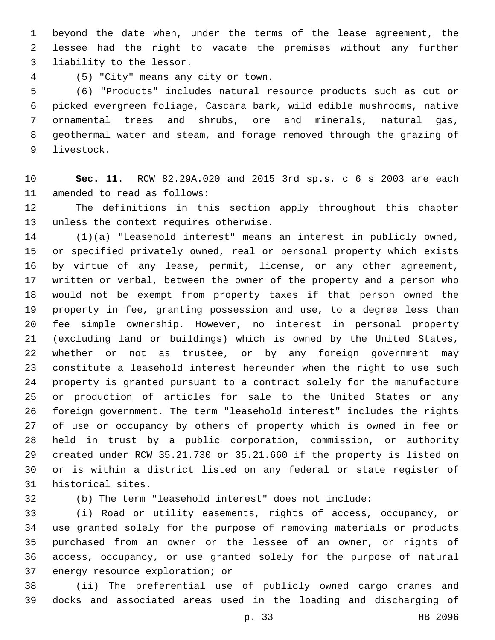beyond the date when, under the terms of the lease agreement, the lessee had the right to vacate the premises without any further 3 liability to the lessor.

(5) "City" means any city or town.4

 (6) "Products" includes natural resource products such as cut or picked evergreen foliage, Cascara bark, wild edible mushrooms, native ornamental trees and shrubs, ore and minerals, natural gas, geothermal water and steam, and forage removed through the grazing of 9 livestock.

 **Sec. 11.** RCW 82.29A.020 and 2015 3rd sp.s. c 6 s 2003 are each 11 amended to read as follows:

 The definitions in this section apply throughout this chapter 13 unless the context requires otherwise.

 (1)(a) "Leasehold interest" means an interest in publicly owned, or specified privately owned, real or personal property which exists by virtue of any lease, permit, license, or any other agreement, written or verbal, between the owner of the property and a person who would not be exempt from property taxes if that person owned the property in fee, granting possession and use, to a degree less than fee simple ownership. However, no interest in personal property (excluding land or buildings) which is owned by the United States, whether or not as trustee, or by any foreign government may constitute a leasehold interest hereunder when the right to use such property is granted pursuant to a contract solely for the manufacture or production of articles for sale to the United States or any foreign government. The term "leasehold interest" includes the rights of use or occupancy by others of property which is owned in fee or held in trust by a public corporation, commission, or authority created under RCW 35.21.730 or 35.21.660 if the property is listed on or is within a district listed on any federal or state register of 31 historical sites.

(b) The term "leasehold interest" does not include:

 (i) Road or utility easements, rights of access, occupancy, or use granted solely for the purpose of removing materials or products purchased from an owner or the lessee of an owner, or rights of access, occupancy, or use granted solely for the purpose of natural 37 energy resource exploration; or

 (ii) The preferential use of publicly owned cargo cranes and docks and associated areas used in the loading and discharging of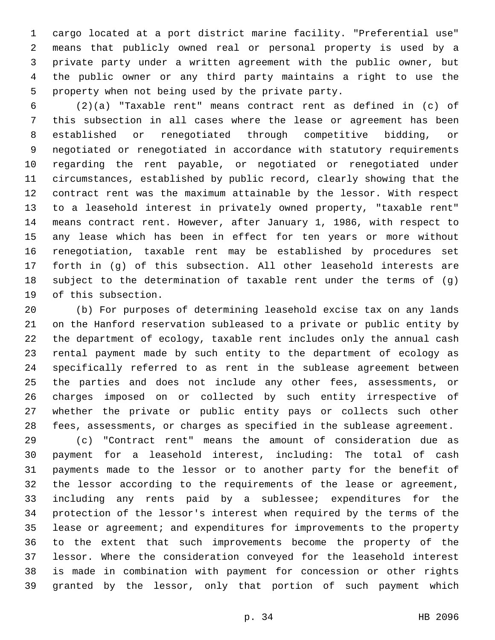cargo located at a port district marine facility. "Preferential use" means that publicly owned real or personal property is used by a private party under a written agreement with the public owner, but the public owner or any third party maintains a right to use the 5 property when not being used by the private party.

 (2)(a) "Taxable rent" means contract rent as defined in (c) of this subsection in all cases where the lease or agreement has been established or renegotiated through competitive bidding, or negotiated or renegotiated in accordance with statutory requirements regarding the rent payable, or negotiated or renegotiated under circumstances, established by public record, clearly showing that the contract rent was the maximum attainable by the lessor. With respect to a leasehold interest in privately owned property, "taxable rent" means contract rent. However, after January 1, 1986, with respect to any lease which has been in effect for ten years or more without renegotiation, taxable rent may be established by procedures set forth in (g) of this subsection. All other leasehold interests are subject to the determination of taxable rent under the terms of (g) 19 of this subsection.

 (b) For purposes of determining leasehold excise tax on any lands on the Hanford reservation subleased to a private or public entity by the department of ecology, taxable rent includes only the annual cash rental payment made by such entity to the department of ecology as specifically referred to as rent in the sublease agreement between the parties and does not include any other fees, assessments, or charges imposed on or collected by such entity irrespective of whether the private or public entity pays or collects such other fees, assessments, or charges as specified in the sublease agreement.

 (c) "Contract rent" means the amount of consideration due as payment for a leasehold interest, including: The total of cash payments made to the lessor or to another party for the benefit of the lessor according to the requirements of the lease or agreement, including any rents paid by a sublessee; expenditures for the protection of the lessor's interest when required by the terms of the lease or agreement; and expenditures for improvements to the property to the extent that such improvements become the property of the lessor. Where the consideration conveyed for the leasehold interest is made in combination with payment for concession or other rights granted by the lessor, only that portion of such payment which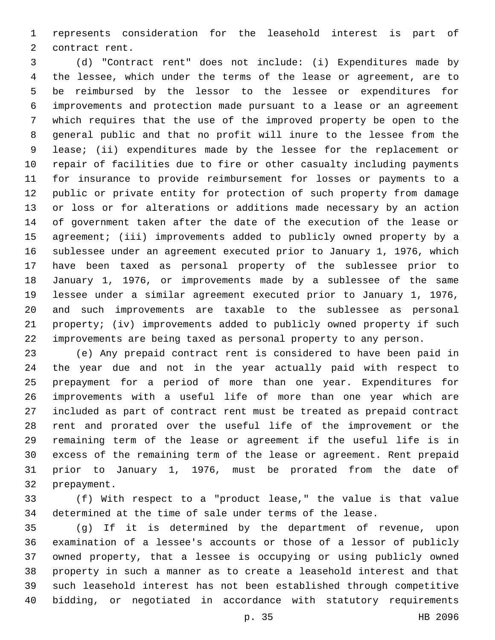represents consideration for the leasehold interest is part of 2 contract rent.

 (d) "Contract rent" does not include: (i) Expenditures made by the lessee, which under the terms of the lease or agreement, are to be reimbursed by the lessor to the lessee or expenditures for improvements and protection made pursuant to a lease or an agreement which requires that the use of the improved property be open to the general public and that no profit will inure to the lessee from the lease; (ii) expenditures made by the lessee for the replacement or repair of facilities due to fire or other casualty including payments for insurance to provide reimbursement for losses or payments to a public or private entity for protection of such property from damage or loss or for alterations or additions made necessary by an action of government taken after the date of the execution of the lease or agreement; (iii) improvements added to publicly owned property by a sublessee under an agreement executed prior to January 1, 1976, which have been taxed as personal property of the sublessee prior to January 1, 1976, or improvements made by a sublessee of the same lessee under a similar agreement executed prior to January 1, 1976, and such improvements are taxable to the sublessee as personal property; (iv) improvements added to publicly owned property if such improvements are being taxed as personal property to any person.

 (e) Any prepaid contract rent is considered to have been paid in the year due and not in the year actually paid with respect to prepayment for a period of more than one year. Expenditures for improvements with a useful life of more than one year which are included as part of contract rent must be treated as prepaid contract rent and prorated over the useful life of the improvement or the remaining term of the lease or agreement if the useful life is in excess of the remaining term of the lease or agreement. Rent prepaid prior to January 1, 1976, must be prorated from the date of 32 prepayment.

 (f) With respect to a "product lease," the value is that value determined at the time of sale under terms of the lease.

 (g) If it is determined by the department of revenue, upon examination of a lessee's accounts or those of a lessor of publicly owned property, that a lessee is occupying or using publicly owned property in such a manner as to create a leasehold interest and that such leasehold interest has not been established through competitive bidding, or negotiated in accordance with statutory requirements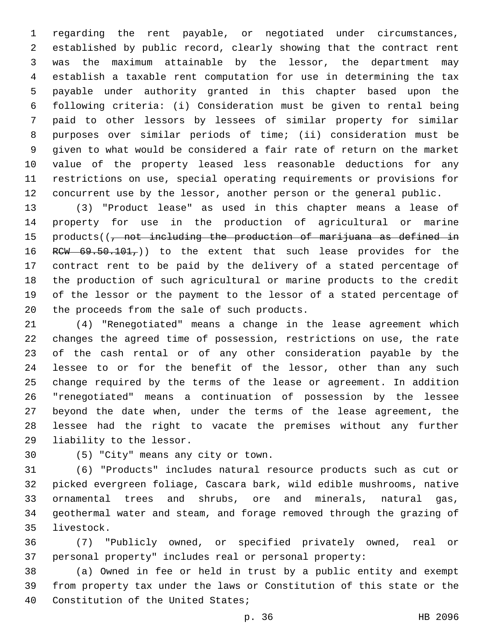regarding the rent payable, or negotiated under circumstances, established by public record, clearly showing that the contract rent was the maximum attainable by the lessor, the department may establish a taxable rent computation for use in determining the tax payable under authority granted in this chapter based upon the following criteria: (i) Consideration must be given to rental being paid to other lessors by lessees of similar property for similar purposes over similar periods of time; (ii) consideration must be given to what would be considered a fair rate of return on the market value of the property leased less reasonable deductions for any restrictions on use, special operating requirements or provisions for concurrent use by the lessor, another person or the general public.

 (3) "Product lease" as used in this chapter means a lease of property for use in the production of agricultural or marine 15 products((, not including the production of marijuana as defined in 16 RCW  $69.50.101$ , to the extent that such lease provides for the contract rent to be paid by the delivery of a stated percentage of the production of such agricultural or marine products to the credit of the lessor or the payment to the lessor of a stated percentage of 20 the proceeds from the sale of such products.

 (4) "Renegotiated" means a change in the lease agreement which changes the agreed time of possession, restrictions on use, the rate of the cash rental or of any other consideration payable by the lessee to or for the benefit of the lessor, other than any such change required by the terms of the lease or agreement. In addition "renegotiated" means a continuation of possession by the lessee beyond the date when, under the terms of the lease agreement, the lessee had the right to vacate the premises without any further 29 liability to the lessor.

(5) "City" means any city or town.30

 (6) "Products" includes natural resource products such as cut or picked evergreen foliage, Cascara bark, wild edible mushrooms, native ornamental trees and shrubs, ore and minerals, natural gas, geothermal water and steam, and forage removed through the grazing of 35 livestock.

 (7) "Publicly owned, or specified privately owned, real or personal property" includes real or personal property:

 (a) Owned in fee or held in trust by a public entity and exempt from property tax under the laws or Constitution of this state or the 40 Constitution of the United States;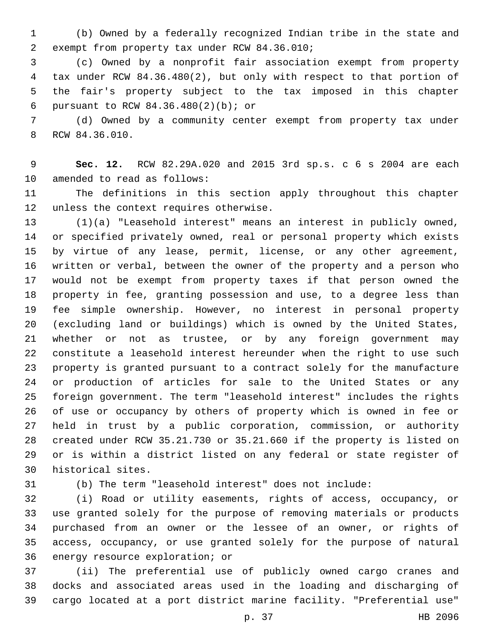(b) Owned by a federally recognized Indian tribe in the state and 2 exempt from property tax under RCW 84.36.010;

 (c) Owned by a nonprofit fair association exempt from property tax under RCW 84.36.480(2), but only with respect to that portion of the fair's property subject to the tax imposed in this chapter pursuant to RCW 84.36.480(2)(b); or6

 (d) Owned by a community center exempt from property tax under 8 RCW 84.36.010.

 **Sec. 12.** RCW 82.29A.020 and 2015 3rd sp.s. c 6 s 2004 are each 10 amended to read as follows:

 The definitions in this section apply throughout this chapter 12 unless the context requires otherwise.

 (1)(a) "Leasehold interest" means an interest in publicly owned, or specified privately owned, real or personal property which exists by virtue of any lease, permit, license, or any other agreement, written or verbal, between the owner of the property and a person who would not be exempt from property taxes if that person owned the property in fee, granting possession and use, to a degree less than fee simple ownership. However, no interest in personal property (excluding land or buildings) which is owned by the United States, whether or not as trustee, or by any foreign government may constitute a leasehold interest hereunder when the right to use such property is granted pursuant to a contract solely for the manufacture or production of articles for sale to the United States or any foreign government. The term "leasehold interest" includes the rights of use or occupancy by others of property which is owned in fee or held in trust by a public corporation, commission, or authority created under RCW 35.21.730 or 35.21.660 if the property is listed on or is within a district listed on any federal or state register of 30 historical sites.

(b) The term "leasehold interest" does not include:

 (i) Road or utility easements, rights of access, occupancy, or use granted solely for the purpose of removing materials or products purchased from an owner or the lessee of an owner, or rights of access, occupancy, or use granted solely for the purpose of natural 36 energy resource exploration; or

 (ii) The preferential use of publicly owned cargo cranes and docks and associated areas used in the loading and discharging of cargo located at a port district marine facility. "Preferential use"

p. 37 HB 2096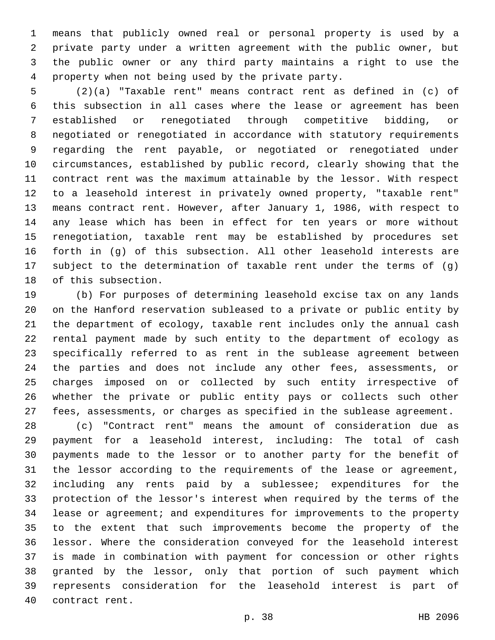means that publicly owned real or personal property is used by a private party under a written agreement with the public owner, but the public owner or any third party maintains a right to use the 4 property when not being used by the private party.

 (2)(a) "Taxable rent" means contract rent as defined in (c) of this subsection in all cases where the lease or agreement has been established or renegotiated through competitive bidding, or negotiated or renegotiated in accordance with statutory requirements regarding the rent payable, or negotiated or renegotiated under circumstances, established by public record, clearly showing that the contract rent was the maximum attainable by the lessor. With respect to a leasehold interest in privately owned property, "taxable rent" means contract rent. However, after January 1, 1986, with respect to any lease which has been in effect for ten years or more without renegotiation, taxable rent may be established by procedures set forth in (g) of this subsection. All other leasehold interests are subject to the determination of taxable rent under the terms of (g) 18 of this subsection.

 (b) For purposes of determining leasehold excise tax on any lands on the Hanford reservation subleased to a private or public entity by the department of ecology, taxable rent includes only the annual cash rental payment made by such entity to the department of ecology as specifically referred to as rent in the sublease agreement between the parties and does not include any other fees, assessments, or charges imposed on or collected by such entity irrespective of whether the private or public entity pays or collects such other fees, assessments, or charges as specified in the sublease agreement.

 (c) "Contract rent" means the amount of consideration due as payment for a leasehold interest, including: The total of cash payments made to the lessor or to another party for the benefit of the lessor according to the requirements of the lease or agreement, including any rents paid by a sublessee; expenditures for the protection of the lessor's interest when required by the terms of the lease or agreement; and expenditures for improvements to the property to the extent that such improvements become the property of the lessor. Where the consideration conveyed for the leasehold interest is made in combination with payment for concession or other rights granted by the lessor, only that portion of such payment which represents consideration for the leasehold interest is part of 40 contract rent.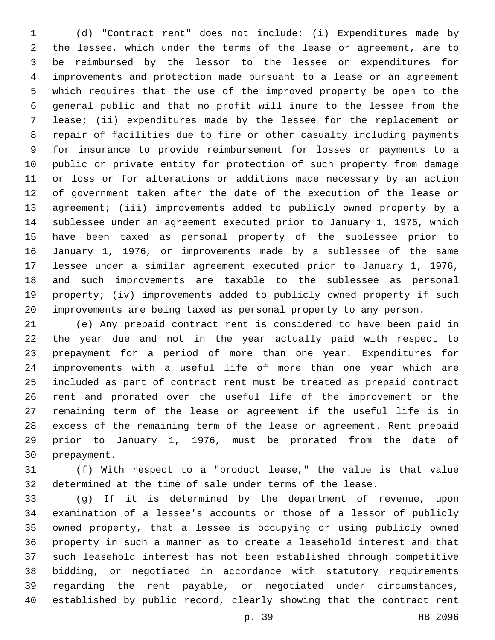(d) "Contract rent" does not include: (i) Expenditures made by the lessee, which under the terms of the lease or agreement, are to be reimbursed by the lessor to the lessee or expenditures for improvements and protection made pursuant to a lease or an agreement which requires that the use of the improved property be open to the general public and that no profit will inure to the lessee from the lease; (ii) expenditures made by the lessee for the replacement or repair of facilities due to fire or other casualty including payments for insurance to provide reimbursement for losses or payments to a public or private entity for protection of such property from damage or loss or for alterations or additions made necessary by an action of government taken after the date of the execution of the lease or agreement; (iii) improvements added to publicly owned property by a sublessee under an agreement executed prior to January 1, 1976, which have been taxed as personal property of the sublessee prior to January 1, 1976, or improvements made by a sublessee of the same lessee under a similar agreement executed prior to January 1, 1976, and such improvements are taxable to the sublessee as personal property; (iv) improvements added to publicly owned property if such improvements are being taxed as personal property to any person.

 (e) Any prepaid contract rent is considered to have been paid in the year due and not in the year actually paid with respect to prepayment for a period of more than one year. Expenditures for improvements with a useful life of more than one year which are included as part of contract rent must be treated as prepaid contract rent and prorated over the useful life of the improvement or the remaining term of the lease or agreement if the useful life is in excess of the remaining term of the lease or agreement. Rent prepaid prior to January 1, 1976, must be prorated from the date of 30 prepayment.

 (f) With respect to a "product lease," the value is that value determined at the time of sale under terms of the lease.

 (g) If it is determined by the department of revenue, upon examination of a lessee's accounts or those of a lessor of publicly owned property, that a lessee is occupying or using publicly owned property in such a manner as to create a leasehold interest and that such leasehold interest has not been established through competitive bidding, or negotiated in accordance with statutory requirements regarding the rent payable, or negotiated under circumstances, established by public record, clearly showing that the contract rent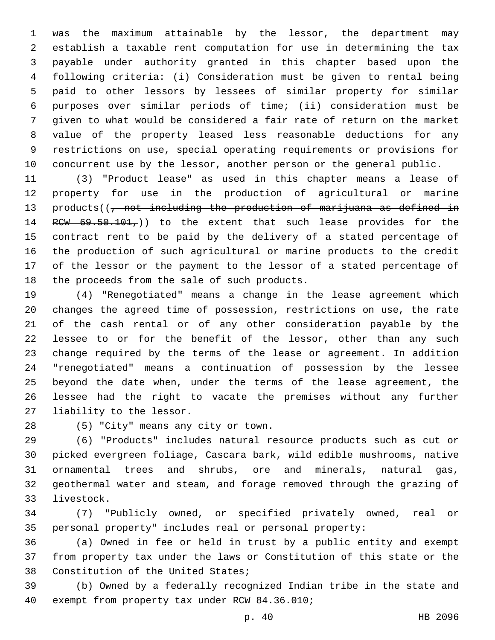was the maximum attainable by the lessor, the department may establish a taxable rent computation for use in determining the tax payable under authority granted in this chapter based upon the following criteria: (i) Consideration must be given to rental being paid to other lessors by lessees of similar property for similar purposes over similar periods of time; (ii) consideration must be given to what would be considered a fair rate of return on the market value of the property leased less reasonable deductions for any restrictions on use, special operating requirements or provisions for 10 concurrent use by the lessor, another person or the general public.

 (3) "Product lease" as used in this chapter means a lease of property for use in the production of agricultural or marine 13 products((, not including the production of marijuana as defined in 14 RCW  $69.50.101$ , to the extent that such lease provides for the contract rent to be paid by the delivery of a stated percentage of the production of such agricultural or marine products to the credit of the lessor or the payment to the lessor of a stated percentage of 18 the proceeds from the sale of such products.

 (4) "Renegotiated" means a change in the lease agreement which changes the agreed time of possession, restrictions on use, the rate of the cash rental or of any other consideration payable by the lessee to or for the benefit of the lessor, other than any such change required by the terms of the lease or agreement. In addition "renegotiated" means a continuation of possession by the lessee beyond the date when, under the terms of the lease agreement, the lessee had the right to vacate the premises without any further 27 liability to the lessor.

(5) "City" means any city or town.28

 (6) "Products" includes natural resource products such as cut or picked evergreen foliage, Cascara bark, wild edible mushrooms, native ornamental trees and shrubs, ore and minerals, natural gas, geothermal water and steam, and forage removed through the grazing of 33 livestock.

 (7) "Publicly owned, or specified privately owned, real or personal property" includes real or personal property:

 (a) Owned in fee or held in trust by a public entity and exempt from property tax under the laws or Constitution of this state or the 38 Constitution of the United States;

 (b) Owned by a federally recognized Indian tribe in the state and 40 exempt from property tax under RCW 84.36.010;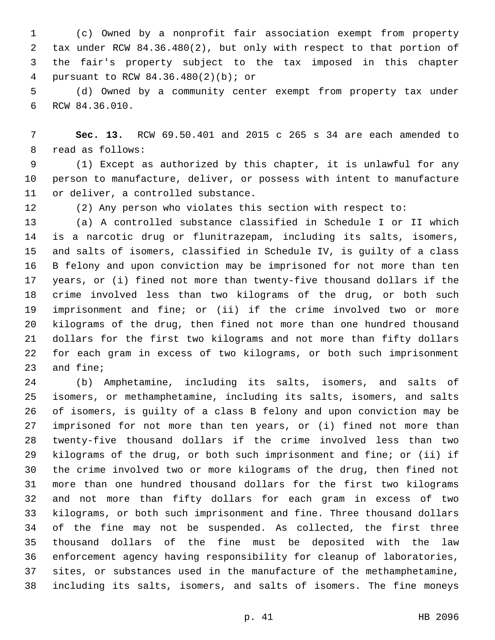(c) Owned by a nonprofit fair association exempt from property tax under RCW 84.36.480(2), but only with respect to that portion of the fair's property subject to the tax imposed in this chapter pursuant to RCW 84.36.480(2)(b); or4

 (d) Owned by a community center exempt from property tax under 6 RCW 84.36.010.

 **Sec. 13.** RCW 69.50.401 and 2015 c 265 s 34 are each amended to 8 read as follows:

 (1) Except as authorized by this chapter, it is unlawful for any person to manufacture, deliver, or possess with intent to manufacture 11 or deliver, a controlled substance.

(2) Any person who violates this section with respect to:

 (a) A controlled substance classified in Schedule I or II which is a narcotic drug or flunitrazepam, including its salts, isomers, and salts of isomers, classified in Schedule IV, is guilty of a class B felony and upon conviction may be imprisoned for not more than ten years, or (i) fined not more than twenty-five thousand dollars if the crime involved less than two kilograms of the drug, or both such imprisonment and fine; or (ii) if the crime involved two or more kilograms of the drug, then fined not more than one hundred thousand dollars for the first two kilograms and not more than fifty dollars for each gram in excess of two kilograms, or both such imprisonment 23 and fine;

 (b) Amphetamine, including its salts, isomers, and salts of isomers, or methamphetamine, including its salts, isomers, and salts of isomers, is guilty of a class B felony and upon conviction may be imprisoned for not more than ten years, or (i) fined not more than twenty-five thousand dollars if the crime involved less than two kilograms of the drug, or both such imprisonment and fine; or (ii) if the crime involved two or more kilograms of the drug, then fined not more than one hundred thousand dollars for the first two kilograms and not more than fifty dollars for each gram in excess of two kilograms, or both such imprisonment and fine. Three thousand dollars of the fine may not be suspended. As collected, the first three thousand dollars of the fine must be deposited with the law enforcement agency having responsibility for cleanup of laboratories, sites, or substances used in the manufacture of the methamphetamine, including its salts, isomers, and salts of isomers. The fine moneys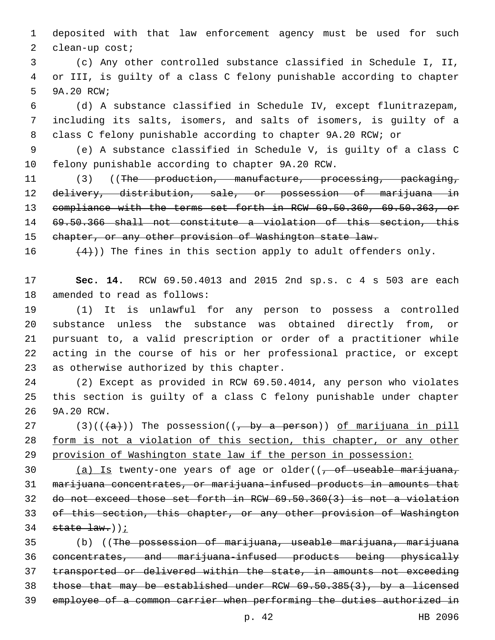deposited with that law enforcement agency must be used for such 2 clean-up cost;

 (c) Any other controlled substance classified in Schedule I, II, or III, is guilty of a class C felony punishable according to chapter 5 9A.20 RCW;

 (d) A substance classified in Schedule IV, except flunitrazepam, including its salts, isomers, and salts of isomers, is guilty of a class C felony punishable according to chapter 9A.20 RCW; or

 (e) A substance classified in Schedule V, is guilty of a class C 10 felony punishable according to chapter 9A.20 RCW.

11 (3) ((The production, manufacture, processing, packaging, delivery, distribution, sale, or possession of marijuana in compliance with the terms set forth in RCW 69.50.360, 69.50.363, or 69.50.366 shall not constitute a violation of this section, this 15 chapter, or any other provision of Washington state law.

16  $(4)$ )) The fines in this section apply to adult offenders only.

 **Sec. 14.** RCW 69.50.4013 and 2015 2nd sp.s. c 4 s 503 are each 18 amended to read as follows:

 (1) It is unlawful for any person to possess a controlled substance unless the substance was obtained directly from, or pursuant to, a valid prescription or order of a practitioner while acting in the course of his or her professional practice, or except 23 as otherwise authorized by this chapter.

 (2) Except as provided in RCW 69.50.4014, any person who violates this section is guilty of a class C felony punishable under chapter 26 9A.20 RCW.

27 (3)( $(\overline{a})$ ) The possession( $(\overline{b}$  by a person)) of marijuana in pill form is not a violation of this section, this chapter, or any other provision of Washington state law if the person in possession:

30 (a) Is twenty-one years of age or older( $(-6.66)$  of useable marijuana, 31 marijuana concentrates, or marijuana-infused products in amounts that do not exceed those set forth in RCW 69.50.360(3) is not a violation of this section, this chapter, or any other provision of Washington state law.));

 (b) ((The possession of marijuana, useable marijuana, marijuana concentrates, and marijuana-infused products being physically transported or delivered within the state, in amounts not exceeding those that may be established under RCW 69.50.385(3), by a licensed employee of a common carrier when performing the duties authorized in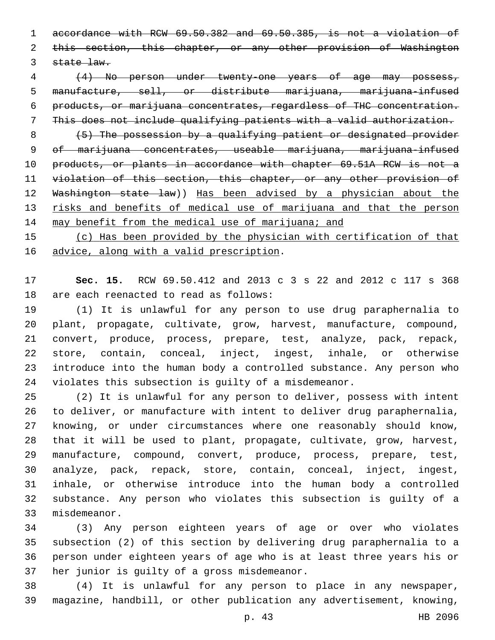accordance with RCW 69.50.382 and 69.50.385, is not a violation of 2 this section, this chapter, or any other provision of Washington 3 state law.

 (4) No person under twenty-one years of age may possess, manufacture, sell, or distribute marijuana, marijuana-infused products, or marijuana concentrates, regardless of THC concentration. This does not include qualifying patients with a valid authorization.

8 (5) The possession by a qualifying patient or designated provider 9 of marijuana concentrates, useable marijuana, marijuana-infused products, or plants in accordance with chapter 69.51A RCW is not a violation of this section, this chapter, or any other provision of Washington state law)) Has been advised by a physician about the 13 risks and benefits of medical use of marijuana and that the person 14 may benefit from the medical use of marijuana; and

15 (c) Has been provided by the physician with certification of that 16 advice, along with a valid prescription.

 **Sec. 15.** RCW 69.50.412 and 2013 c 3 s 22 and 2012 c 117 s 368 18 are each reenacted to read as follows:

 (1) It is unlawful for any person to use drug paraphernalia to plant, propagate, cultivate, grow, harvest, manufacture, compound, convert, produce, process, prepare, test, analyze, pack, repack, store, contain, conceal, inject, ingest, inhale, or otherwise introduce into the human body a controlled substance. Any person who violates this subsection is guilty of a misdemeanor.

 (2) It is unlawful for any person to deliver, possess with intent to deliver, or manufacture with intent to deliver drug paraphernalia, knowing, or under circumstances where one reasonably should know, that it will be used to plant, propagate, cultivate, grow, harvest, manufacture, compound, convert, produce, process, prepare, test, analyze, pack, repack, store, contain, conceal, inject, ingest, inhale, or otherwise introduce into the human body a controlled substance. Any person who violates this subsection is guilty of a 33 misdemeanor.

 (3) Any person eighteen years of age or over who violates subsection (2) of this section by delivering drug paraphernalia to a person under eighteen years of age who is at least three years his or 37 her junior is guilty of a gross misdemeanor.

 (4) It is unlawful for any person to place in any newspaper, magazine, handbill, or other publication any advertisement, knowing,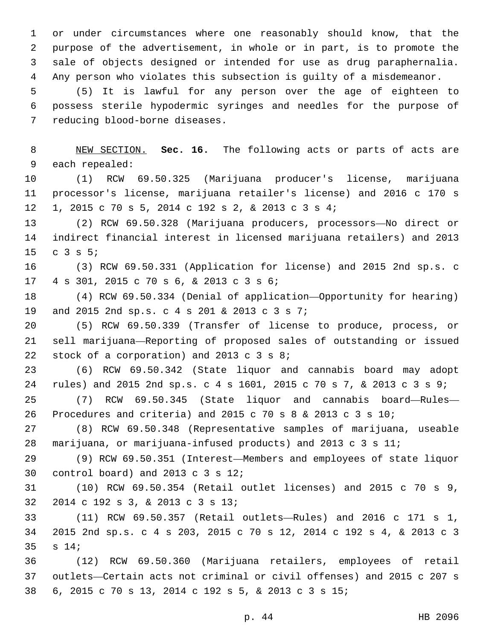or under circumstances where one reasonably should know, that the purpose of the advertisement, in whole or in part, is to promote the sale of objects designed or intended for use as drug paraphernalia. Any person who violates this subsection is guilty of a misdemeanor.

 (5) It is lawful for any person over the age of eighteen to possess sterile hypodermic syringes and needles for the purpose of 7 reducing blood-borne diseases.

 NEW SECTION. **Sec. 16.** The following acts or parts of acts are each repealed:

 (1) RCW 69.50.325 (Marijuana producer's license, marijuana processor's license, marijuana retailer's license) and 2016 c 170 s 1, 2015 c 70 s 5, 2014 c 192 s 2, & 2013 c 3 s 4;12

 (2) RCW 69.50.328 (Marijuana producers, processors—No direct or indirect financial interest in licensed marijuana retailers) and 2013  $C_3$  3 s 5;

 (3) RCW 69.50.331 (Application for license) and 2015 2nd sp.s. c 17 4 s 301, 2015 c 70 s 6, & 2013 c 3 s 6;

 (4) RCW 69.50.334 (Denial of application—Opportunity for hearing) 19 and 2015 2nd sp.s. c 4 s 201 & 2013 c 3 s 7;

 (5) RCW 69.50.339 (Transfer of license to produce, process, or sell marijuana—Reporting of proposed sales of outstanding or issued 22 stock of a corporation) and 2013  $c$  3 s 8;

 (6) RCW 69.50.342 (State liquor and cannabis board may adopt rules) and 2015 2nd sp.s. c 4 s 1601, 2015 c 70 s 7, & 2013 c 3 s 9;

 (7) RCW 69.50.345 (State liquor and cannabis board—Rules— Procedures and criteria) and 2015 c 70 s 8 & 2013 c 3 s 10;

 (8) RCW 69.50.348 (Representative samples of marijuana, useable marijuana, or marijuana-infused products) and 2013 c 3 s 11;

 (9) RCW 69.50.351 (Interest—Members and employees of state liquor 30 control board) and 2013 c  $3 \text{ s } 12$ ;

 (10) RCW 69.50.354 (Retail outlet licenses) and 2015 c 70 s 9, 32 2014 c 192 s 3, & 2013 c 3 s 13;

 (11) RCW 69.50.357 (Retail outlets—Rules) and 2016 c 171 s 1, 2015 2nd sp.s. c 4 s 203, 2015 c 70 s 12, 2014 c 192 s 4, & 2013 c 3 35 s 14;

 (12) RCW 69.50.360 (Marijuana retailers, employees of retail outlets—Certain acts not criminal or civil offenses) and 2015 c 207 s 6, 2015 c 70 s 13, 2014 c 192 s 5, & 2013 c 3 s 15;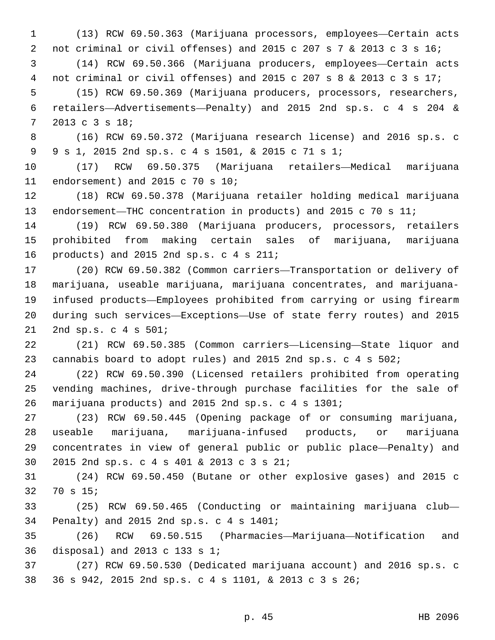(13) RCW 69.50.363 (Marijuana processors, employees—Certain acts not criminal or civil offenses) and 2015 c 207 s 7 & 2013 c 3 s 16; (14) RCW 69.50.366 (Marijuana producers, employees—Certain acts not criminal or civil offenses) and 2015 c 207 s 8 & 2013 c 3 s 17; (15) RCW 69.50.369 (Marijuana producers, processors, researchers, retailers—Advertisements—Penalty) and 2015 2nd sp.s. c 4 s 204 &

2013 c 3 s 18;7

 (16) RCW 69.50.372 (Marijuana research license) and 2016 sp.s. c 9 s 1, 2015 2nd sp.s. c 4 s 1501, & 2015 c 71 s 1;9

 (17) RCW 69.50.375 (Marijuana retailers—Medical marijuana 11 endorsement) and 2015 c 70 s  $10i$ 

 (18) RCW 69.50.378 (Marijuana retailer holding medical marijuana endorsement—THC concentration in products) and 2015 c 70 s 11;

 (19) RCW 69.50.380 (Marijuana producers, processors, retailers prohibited from making certain sales of marijuana, marijuana 16 products) and 2015 2nd sp.s.  $c$  4 s 211;

 (20) RCW 69.50.382 (Common carriers—Transportation or delivery of marijuana, useable marijuana, marijuana concentrates, and marijuana- infused products—Employees prohibited from carrying or using firearm during such services—Exceptions—Use of state ferry routes) and 2015 21 2nd sp.s. c 4 s 501;

 (21) RCW 69.50.385 (Common carriers—Licensing—State liquor and cannabis board to adopt rules) and 2015 2nd sp.s. c 4 s 502;

 (22) RCW 69.50.390 (Licensed retailers prohibited from operating vending machines, drive-through purchase facilities for the sale of marijuana products) and 2015 2nd sp.s. c 4 s 1301;

 (23) RCW 69.50.445 (Opening package of or consuming marijuana, useable marijuana, marijuana-infused products, or marijuana concentrates in view of general public or public place—Penalty) and 2015 2nd sp.s. c 4 s 401 & 2013 c 3 s 21;30

 (24) RCW 69.50.450 (Butane or other explosive gases) and 2015 c 32 70 s 15;

 (25) RCW 69.50.465 (Conducting or maintaining marijuana club— Penalty) and 2015 2nd sp.s. c 4 s 1401;34

 (26) RCW 69.50.515 (Pharmacies—Marijuana—Notification and disposal) and 2013 c 133 s 1;36

 (27) RCW 69.50.530 (Dedicated marijuana account) and 2016 sp.s. c 36 s 942, 2015 2nd sp.s. c 4 s 1101, & 2013 c 3 s 26;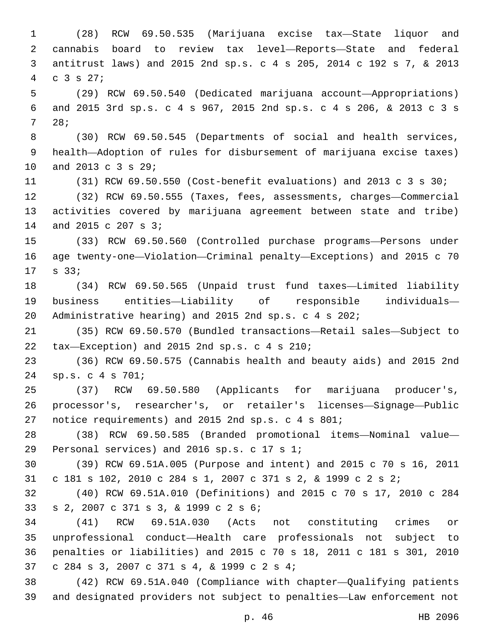(28) RCW 69.50.535 (Marijuana excise tax—State liquor and cannabis board to review tax level—Reports—State and federal antitrust laws) and 2015 2nd sp.s. c 4 s 205, 2014 c 192 s 7, & 2013  $4 \quad c \quad 3 \quad s \quad 27;$  (29) RCW 69.50.540 (Dedicated marijuana account—Appropriations) and 2015 3rd sp.s. c 4 s 967, 2015 2nd sp.s. c 4 s 206, & 2013 c 3 s 28;7 (30) RCW 69.50.545 (Departments of social and health services, health—Adoption of rules for disbursement of marijuana excise taxes) 10 and 2013 c 3 s 29; (31) RCW 69.50.550 (Cost-benefit evaluations) and 2013 c 3 s 30; (32) RCW 69.50.555 (Taxes, fees, assessments, charges—Commercial activities covered by marijuana agreement between state and tribe) 14 and 2015 c 207 s 3; (33) RCW 69.50.560 (Controlled purchase programs—Persons under age twenty-one—Violation—Criminal penalty—Exceptions) and 2015 c 70 17 s 33; (34) RCW 69.50.565 (Unpaid trust fund taxes—Limited liability business entities—Liability of responsible individuals— Administrative hearing) and 2015 2nd sp.s. c 4 s 202; (35) RCW 69.50.570 (Bundled transactions—Retail sales—Subject to 22 tax-Exception) and 2015 2nd sp.s. c 4 s 210; (36) RCW 69.50.575 (Cannabis health and beauty aids) and 2015 2nd sp.s. c 4 s 701;24 (37) RCW 69.50.580 (Applicants for marijuana producer's, processor's, researcher's, or retailer's licenses—Signage—Public notice requirements) and 2015 2nd sp.s. c 4 s 801; (38) RCW 69.50.585 (Branded promotional items—Nominal value— 29 Personal services) and 2016 sp.s. c 17 s 1; (39) RCW 69.51A.005 (Purpose and intent) and 2015 c 70 s 16, 2011 c 181 s 102, 2010 c 284 s 1, 2007 c 371 s 2, & 1999 c 2 s 2; (40) RCW 69.51A.010 (Definitions) and 2015 c 70 s 17, 2010 c 284 s 2, 2007 c 371 s 3, & 1999 c 2 s 6;33 (41) RCW 69.51A.030 (Acts not constituting crimes or unprofessional conduct—Health care professionals not subject to penalties or liabilities) and 2015 c 70 s 18, 2011 c 181 s 301, 2010 37 c 284 s 3, 2007 c 371 s 4, & 1999 c 2 s 4; (42) RCW 69.51A.040 (Compliance with chapter—Qualifying patients and designated providers not subject to penalties—Law enforcement not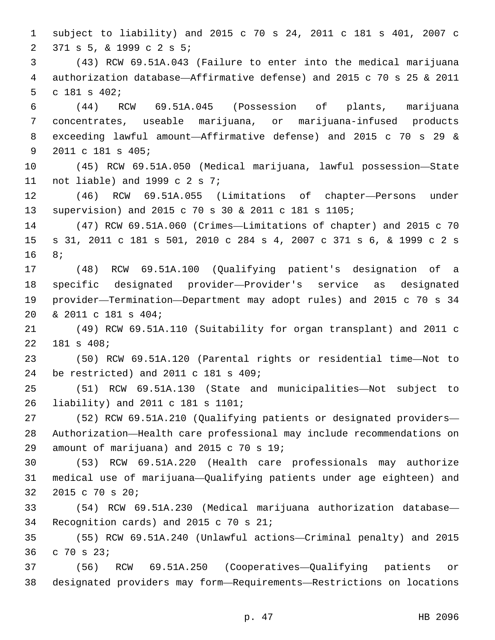subject to liability) and 2015 c 70 s 24, 2011 c 181 s 401, 2007 c 371 s 5, & 1999 c 2 s 5;2

 (43) RCW 69.51A.043 (Failure to enter into the medical marijuana authorization database—Affirmative defense) and 2015 c 70 s 25 & 2011 5 c 181 s  $402;$ 

 (44) RCW 69.51A.045 (Possession of plants, marijuana concentrates, useable marijuana, or marijuana-infused products exceeding lawful amount—Affirmative defense) and 2015 c 70 s 29 & 9 2011 c 181 s 405;

 (45) RCW 69.51A.050 (Medical marijuana, lawful possession—State 11 not liable) and 1999 c  $2 s 7i$ 

 (46) RCW 69.51A.055 (Limitations of chapter—Persons under supervision) and 2015 c 70 s 30 & 2011 c 181 s 1105;

 (47) RCW 69.51A.060 (Crimes—Limitations of chapter) and 2015 c 70 s 31, 2011 c 181 s 501, 2010 c 284 s 4, 2007 c 371 s 6, & 1999 c 2 s 16 8;

 (48) RCW 69.51A.100 (Qualifying patient's designation of a specific designated provider—Provider's service as designated provider—Termination—Department may adopt rules) and 2015 c 70 s 34 & 2011 c 181 s 404;20

 (49) RCW 69.51A.110 (Suitability for organ transplant) and 2011 c 22 181 s 408;

 (50) RCW 69.51A.120 (Parental rights or residential time—Not to 24 be restricted) and 2011 c 181 s 409;

 (51) RCW 69.51A.130 (State and municipalities—Not subject to liability) and 2011 c 181 s 1101;26

 (52) RCW 69.51A.210 (Qualifying patients or designated providers— Authorization—Health care professional may include recommendations on 29 amount of marijuana) and 2015  $c$  70 s 19;

 (53) RCW 69.51A.220 (Health care professionals may authorize medical use of marijuana—Qualifying patients under age eighteen) and 32 2015 c 70 s 20;

 (54) RCW 69.51A.230 (Medical marijuana authorization database— 34 Recognition cards) and 2015 c 70 s 21;

 (55) RCW 69.51A.240 (Unlawful actions—Criminal penalty) and 2015 36 c 70 s 23;

 (56) RCW 69.51A.250 (Cooperatives—Qualifying patients or designated providers may form—Requirements—Restrictions on locations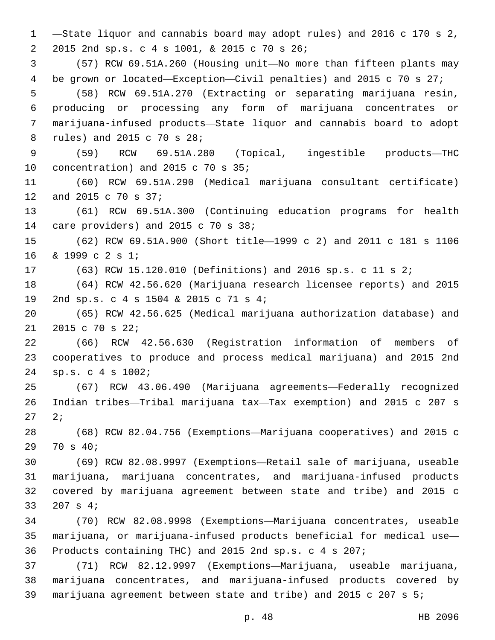—State liquor and cannabis board may adopt rules) and 2016 c 170 s 2, 2015 2nd sp.s. c 4 s 1001, & 2015 c 70 s 26;2 (57) RCW 69.51A.260 (Housing unit—No more than fifteen plants may be grown or located—Exception—Civil penalties) and 2015 c 70 s 27; (58) RCW 69.51A.270 (Extracting or separating marijuana resin, producing or processing any form of marijuana concentrates or marijuana-infused products—State liquor and cannabis board to adopt 8 rules) and 2015 c 70 s 28; (59) RCW 69.51A.280 (Topical, ingestible products—THC 10 concentration) and 2015 c 70 s  $35;$  (60) RCW 69.51A.290 (Medical marijuana consultant certificate) 12 and 2015 c 70 s 37; (61) RCW 69.51A.300 (Continuing education programs for health 14 care providers) and 2015 c 70 s 38; (62) RCW 69.51A.900 (Short title—1999 c 2) and 2011 c 181 s 1106 16 & 1999 c 2 s 1; (63) RCW 15.120.010 (Definitions) and 2016 sp.s. c 11 s 2; (64) RCW 42.56.620 (Marijuana research licensee reports) and 2015 2nd sp.s. c 4 s 1504 & 2015 c 71 s 4;19 (65) RCW 42.56.625 (Medical marijuana authorization database) and 21 2015 c 70 s 22; (66) RCW 42.56.630 (Registration information of members of cooperatives to produce and process medical marijuana) and 2015 2nd sp.s. c 4 s 1002;24 (67) RCW 43.06.490 (Marijuana agreements—Federally recognized Indian tribes—Tribal marijuana tax—Tax exemption) and 2015 c 207 s 27 27 (68) RCW 82.04.756 (Exemptions—Marijuana cooperatives) and 2015 c 29 70 s 40; (69) RCW 82.08.9997 (Exemptions—Retail sale of marijuana, useable marijuana, marijuana concentrates, and marijuana-infused products covered by marijuana agreement between state and tribe) and 2015 c 33 207 s 4; (70) RCW 82.08.9998 (Exemptions—Marijuana concentrates, useable marijuana, or marijuana-infused products beneficial for medical use— Products containing THC) and 2015 2nd sp.s. c 4 s 207; (71) RCW 82.12.9997 (Exemptions—Marijuana, useable marijuana, marijuana concentrates, and marijuana-infused products covered by marijuana agreement between state and tribe) and 2015 c 207 s 5;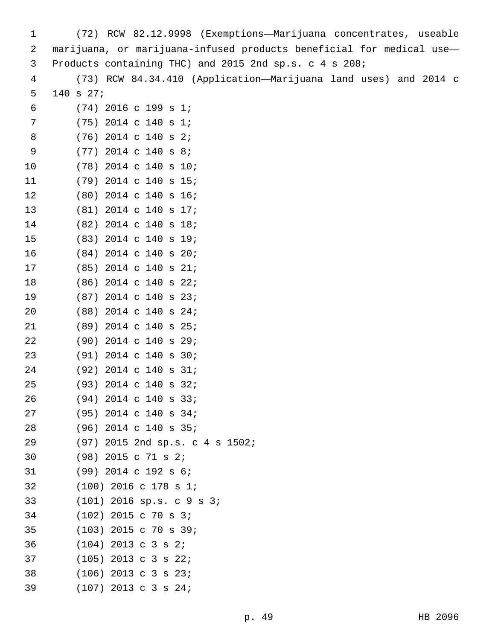| 1  | (72) RCW 82.12.9998 (Exemptions-Marijuana concentrates, useable      |
|----|----------------------------------------------------------------------|
| 2  | marijuana, or marijuana-infused products beneficial for medical use- |
| 3  | Products containing THC) and 2015 2nd sp.s. c 4 s 208;               |
| 4  | (73) RCW 84.34.410 (Application-Marijuana land uses) and 2014 c      |
| 5  | 140 s 27;                                                            |
| 6  | $(74)$ 2016 c 199 s 1;                                               |
| 7  | $(75)$ 2014 c 140 s 1;                                               |
| 8  | $(76)$ 2014 c 140 s 2;                                               |
| 9  | $(77)$ 2014 c 140 s 8;                                               |
| 10 | $(78)$ 2014 c 140 s 10;                                              |
| 11 | $(79)$ 2014 c 140 s 15;                                              |
| 12 | $(80)$ 2014 c 140 s 16;                                              |
| 13 | $(81)$ 2014 c 140 s 17;                                              |
| 14 | $(82)$ 2014 c 140 s 18;                                              |
| 15 | $(83)$ 2014 c 140 s 19;                                              |
| 16 | $(84)$ 2014 c 140 s 20;                                              |
| 17 | $(85)$ 2014 c 140 s 21;                                              |
| 18 | $(86)$ 2014 c 140 s 22;                                              |
| 19 | $(87)$ 2014 c 140 s 23;                                              |
| 20 | $(88)$ 2014 c 140 s 24;                                              |
| 21 | $(89)$ 2014 c 140 s 25;                                              |
| 22 | $(90)$ 2014 c 140 s 29;                                              |
| 23 | $(91)$ 2014 c 140 s 30;                                              |
| 24 | $(92)$ 2014 c 140 s 31;                                              |
| 25 | $(93)$ 2014 c 140 s 32;                                              |
| 26 | $(94)$ 2014 c 140 s 33;                                              |
| 27 | $(95)$ 2014 c 140 s 34;                                              |
| 28 | $(96)$ 2014 c 140 s 35;                                              |
| 29 | (97) 2015 2nd sp.s. c 4 s 1502;                                      |
| 30 | $(98)$ 2015 c 71 s 2;                                                |
| 31 | $(99)$ 2014 c 192 s 6;                                               |
| 32 | $(100)$ 2016 c 178 s 1;                                              |
| 33 | $(101)$ 2016 sp.s. c 9 s 3;                                          |
| 34 | $(102)$ 2015 c 70 s 3;                                               |
| 35 | $(103)$ 2015 c 70 s 39;                                              |
| 36 | $(104)$ 2013 c 3 s 2;                                                |
| 37 | $(105)$ 2013 c 3 s 22;                                               |
| 38 | $(106)$ 2013 c 3 s 23;                                               |
| 39 | $(107)$ 2013 c 3 s 24;                                               |